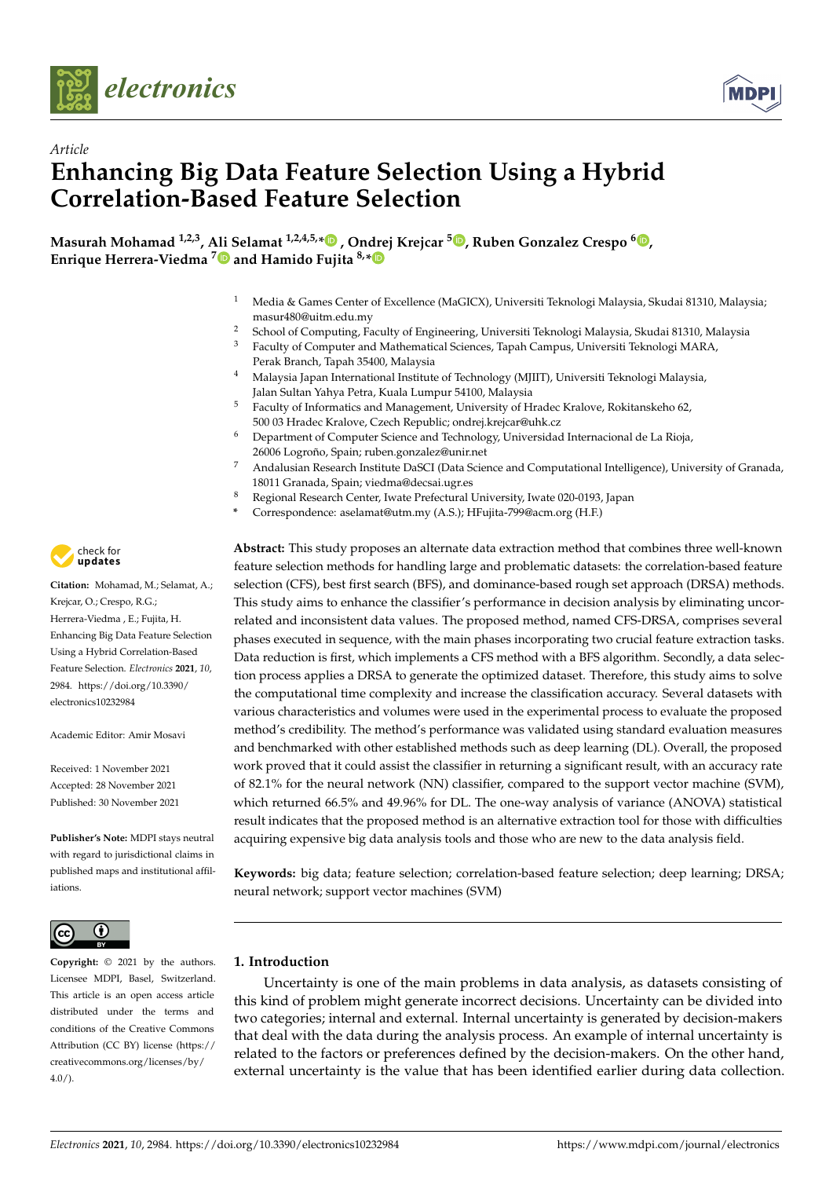



# *Article* **Enhancing Big Data Feature Selection Using a Hybrid Correlation-Based Feature Selection**

**Masurah Mohamad 1,2,3, Ali Selamat 1,2,4,5,[\\*](https://orcid.org/0000-0001-9746-8459) , Ondrej Krejcar <sup>5</sup> [,](https://orcid.org/0000-0002-5992-2574) Ruben Gonzalez Crespo <sup>6</sup> [,](https://orcid.org/0000-0001-5541-6319) Enrique Herrera-Viedma [7](https://orcid.org/0000-0002-7922-4984) and Hamido Fujita 8,[\\*](https://orcid.org/0000-0001-5256-210X)**

- <sup>1</sup> Media & Games Center of Excellence (MaGICX), Universiti Teknologi Malaysia, Skudai 81310, Malaysia; masur480@uitm.edu.my
- <sup>2</sup> School of Computing, Faculty of Engineering, Universiti Teknologi Malaysia, Skudai 81310, Malaysia<sup>3</sup> Eaculty of Computer and Mathematical Sciences Tapah Campus Universiti Teknologi MARA
- <sup>3</sup> Faculty of Computer and Mathematical Sciences, Tapah Campus, Universiti Teknologi MARA, Perak Branch, Tapah 35400, Malaysia
- <sup>4</sup> Malaysia Japan International Institute of Technology (MJIIT), Universiti Teknologi Malaysia, Jalan Sultan Yahya Petra, Kuala Lumpur 54100, Malaysia
- <sup>5</sup> Faculty of Informatics and Management, University of Hradec Kralove, Rokitanskeho 62, 500 03 Hradec Kralove, Czech Republic; ondrej.krejcar@uhk.cz
- <sup>6</sup> Department of Computer Science and Technology, Universidad Internacional de La Rioja, 26006 Logroño, Spain; ruben.gonzalez@unir.net
- <sup>7</sup> Andalusian Research Institute DaSCI (Data Science and Computational Intelligence), University of Granada, 18011 Granada, Spain; viedma@decsai.ugr.es
- <sup>8</sup> Regional Research Center, Iwate Prefectural University, Iwate 020-0193, Japan
- **\*** Correspondence: aselamat@utm.my (A.S.); HFujita-799@acm.org (H.F.)

**Abstract:** This study proposes an alternate data extraction method that combines three well-known feature selection methods for handling large and problematic datasets: the correlation-based feature selection (CFS), best first search (BFS), and dominance-based rough set approach (DRSA) methods. This study aims to enhance the classifier's performance in decision analysis by eliminating uncorrelated and inconsistent data values. The proposed method, named CFS-DRSA, comprises several phases executed in sequence, with the main phases incorporating two crucial feature extraction tasks. Data reduction is first, which implements a CFS method with a BFS algorithm. Secondly, a data selection process applies a DRSA to generate the optimized dataset. Therefore, this study aims to solve the computational time complexity and increase the classification accuracy. Several datasets with various characteristics and volumes were used in the experimental process to evaluate the proposed method's credibility. The method's performance was validated using standard evaluation measures and benchmarked with other established methods such as deep learning (DL). Overall, the proposed work proved that it could assist the classifier in returning a significant result, with an accuracy rate of 82.1% for the neural network (NN) classifier, compared to the support vector machine (SVM), which returned 66.5% and 49.96% for DL. The one-way analysis of variance (ANOVA) statistical result indicates that the proposed method is an alternative extraction tool for those with difficulties acquiring expensive big data analysis tools and those who are new to the data analysis field.

**Keywords:** big data; feature selection; correlation-based feature selection; deep learning; DRSA; neural network; support vector machines (SVM)

## <span id="page-0-0"></span>**1. Introduction**

Uncertainty is one of the main problems in data analysis, as datasets consisting of this kind of problem might generate incorrect decisions. Uncertainty can be divided into two categories; internal and external. Internal uncertainty is generated by decision-makers that deal with the data during the analysis process. An example of internal uncertainty is related to the factors or preferences defined by the decision-makers. On the other hand, external uncertainty is the value that has been identified earlier during data collection.



**Citation:** Mohamad, M.; Selamat, A.; Krejcar, O.; Crespo, R.G.; Herrera-Viedma , E.; Fujita, H. Enhancing Big Data Feature Selection Using a Hybrid Correlation-Based Feature Selection. *Electronics* **2021**, *10*, 2984. [https://doi.org/10.3390/](https://doi.org/10.3390/electronics10232984) [electronics10232984](https://doi.org/10.3390/electronics10232984)

Academic Editor: Amir Mosavi

Received: 1 November 2021 Accepted: 28 November 2021 Published: 30 November 2021

**Publisher's Note:** MDPI stays neutral with regard to jurisdictional claims in published maps and institutional affiliations.



**Copyright:** © 2021 by the authors. Licensee MDPI, Basel, Switzerland. This article is an open access article distributed under the terms and conditions of the Creative Commons Attribution (CC BY) license (https:/[/](https://creativecommons.org/licenses/by/4.0/) [creativecommons.org/licenses/by/](https://creativecommons.org/licenses/by/4.0/)  $4.0/$ ).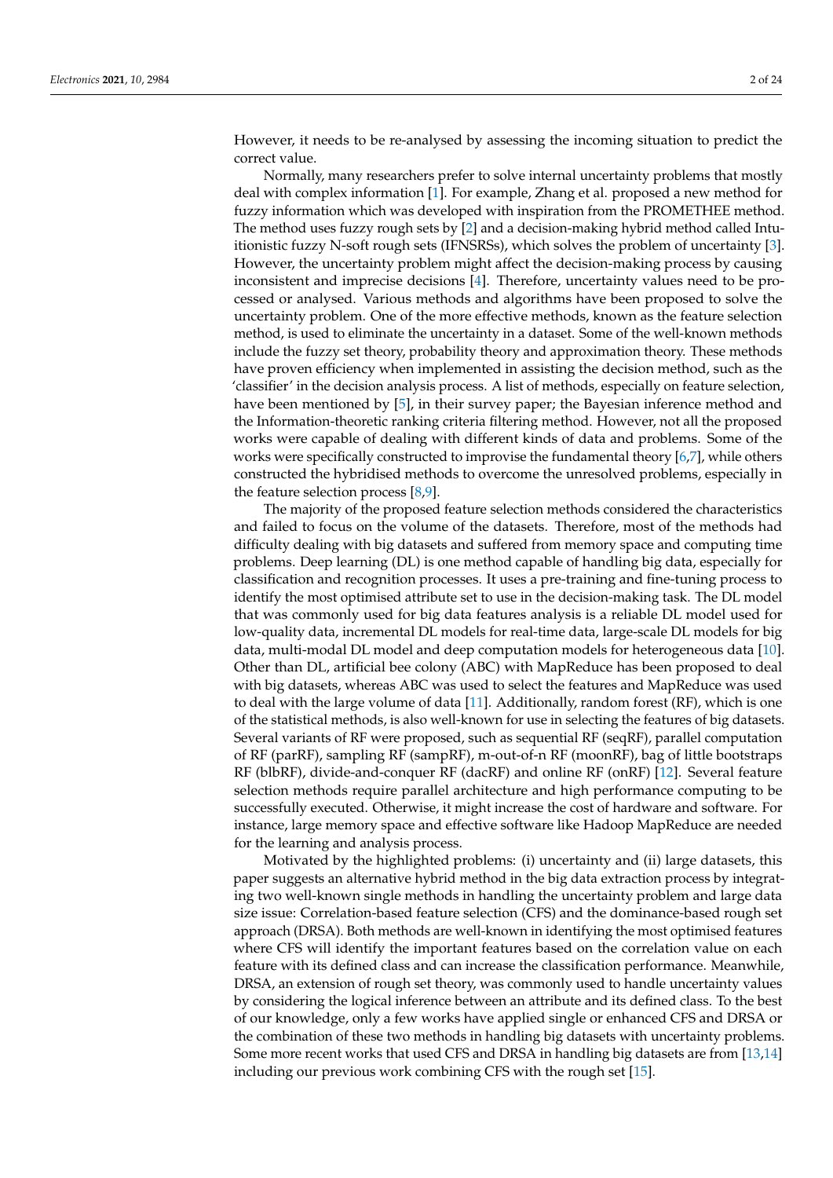However, it needs to be re-analysed by assessing the incoming situation to predict the correct value.

Normally, many researchers prefer to solve internal uncertainty problems that mostly deal with complex information [\[1\]](#page-20-0). For example, Zhang et al. proposed a new method for fuzzy information which was developed with inspiration from the PROMETHEE method. The method uses fuzzy rough sets by [\[2\]](#page-20-1) and a decision-making hybrid method called Intuitionistic fuzzy N-soft rough sets (IFNSRSs), which solves the problem of uncertainty [\[3\]](#page-20-2). However, the uncertainty problem might affect the decision-making process by causing inconsistent and imprecise decisions [\[4\]](#page-20-3). Therefore, uncertainty values need to be processed or analysed. Various methods and algorithms have been proposed to solve the uncertainty problem. One of the more effective methods, known as the feature selection method, is used to eliminate the uncertainty in a dataset. Some of the well-known methods include the fuzzy set theory, probability theory and approximation theory. These methods have proven efficiency when implemented in assisting the decision method, such as the 'classifier' in the decision analysis process. A list of methods, especially on feature selection, have been mentioned by [\[5\]](#page-20-4), in their survey paper; the Bayesian inference method and the Information-theoretic ranking criteria filtering method. However, not all the proposed works were capable of dealing with different kinds of data and problems. Some of the works were specifically constructed to improvise the fundamental theory [\[6,](#page-20-5)[7\]](#page-21-0), while others constructed the hybridised methods to overcome the unresolved problems, especially in the feature selection process  $[8,9]$  $[8,9]$ .

The majority of the proposed feature selection methods considered the characteristics and failed to focus on the volume of the datasets. Therefore, most of the methods had difficulty dealing with big datasets and suffered from memory space and computing time problems. Deep learning (DL) is one method capable of handling big data, especially for classification and recognition processes. It uses a pre-training and fine-tuning process to identify the most optimised attribute set to use in the decision-making task. The DL model that was commonly used for big data features analysis is a reliable DL model used for low-quality data, incremental DL models for real-time data, large-scale DL models for big data, multi-modal DL model and deep computation models for heterogeneous data [\[10\]](#page-21-3). Other than DL, artificial bee colony (ABC) with MapReduce has been proposed to deal with big datasets, whereas ABC was used to select the features and MapReduce was used to deal with the large volume of data [\[11\]](#page-21-4). Additionally, random forest (RF), which is one of the statistical methods, is also well-known for use in selecting the features of big datasets. Several variants of RF were proposed, such as sequential RF (seqRF), parallel computation of RF (parRF), sampling RF (sampRF), m-out-of-n RF (moonRF), bag of little bootstraps RF (blbRF), divide-and-conquer RF (dacRF) and online RF (onRF) [\[12\]](#page-21-5). Several feature selection methods require parallel architecture and high performance computing to be successfully executed. Otherwise, it might increase the cost of hardware and software. For instance, large memory space and effective software like Hadoop MapReduce are needed for the learning and analysis process.

Motivated by the highlighted problems: (i) uncertainty and (ii) large datasets, this paper suggests an alternative hybrid method in the big data extraction process by integrating two well-known single methods in handling the uncertainty problem and large data size issue: Correlation-based feature selection (CFS) and the dominance-based rough set approach (DRSA). Both methods are well-known in identifying the most optimised features where CFS will identify the important features based on the correlation value on each feature with its defined class and can increase the classification performance. Meanwhile, DRSA, an extension of rough set theory, was commonly used to handle uncertainty values by considering the logical inference between an attribute and its defined class. To the best of our knowledge, only a few works have applied single or enhanced CFS and DRSA or the combination of these two methods in handling big datasets with uncertainty problems. Some more recent works that used CFS and DRSA in handling big datasets are from [\[13,](#page-21-6)[14\]](#page-21-7) including our previous work combining CFS with the rough set [\[15\]](#page-21-8).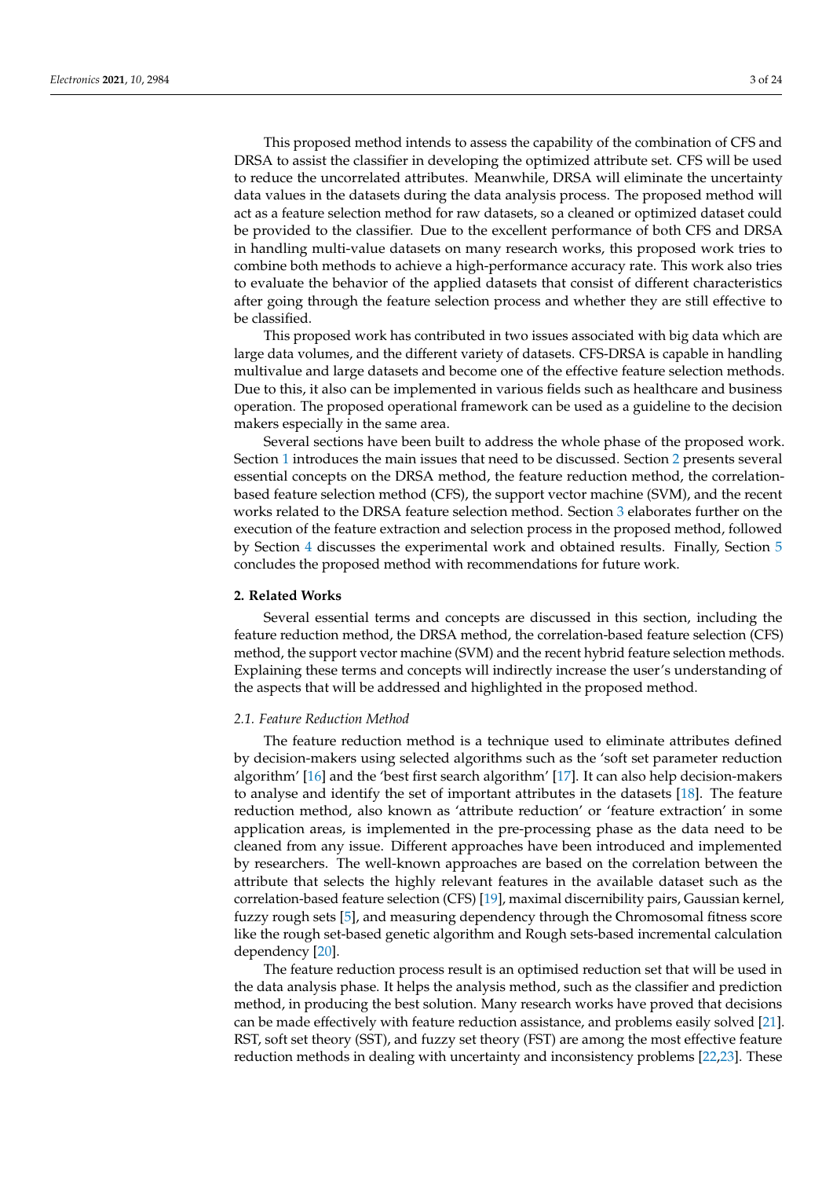This proposed method intends to assess the capability of the combination of CFS and DRSA to assist the classifier in developing the optimized attribute set. CFS will be used to reduce the uncorrelated attributes. Meanwhile, DRSA will eliminate the uncertainty data values in the datasets during the data analysis process. The proposed method will act as a feature selection method for raw datasets, so a cleaned or optimized dataset could be provided to the classifier. Due to the excellent performance of both CFS and DRSA in handling multi-value datasets on many research works, this proposed work tries to combine both methods to achieve a high-performance accuracy rate. This work also tries to evaluate the behavior of the applied datasets that consist of different characteristics after going through the feature selection process and whether they are still effective to be classified.

This proposed work has contributed in two issues associated with big data which are large data volumes, and the different variety of datasets. CFS-DRSA is capable in handling multivalue and large datasets and become one of the effective feature selection methods. Due to this, it also can be implemented in various fields such as healthcare and business operation. The proposed operational framework can be used as a guideline to the decision makers especially in the same area.

Several sections have been built to address the whole phase of the proposed work. Section [1](#page-0-0) introduces the main issues that need to be discussed. Section [2](#page-2-0) presents several essential concepts on the DRSA method, the feature reduction method, the correlationbased feature selection method (CFS), the support vector machine (SVM), and the recent works related to the DRSA feature selection method. Section [3](#page-7-0) elaborates further on the execution of the feature extraction and selection process in the proposed method, followed by Section [4](#page-12-0) discusses the experimental work and obtained results. Finally, Section [5](#page-19-0) concludes the proposed method with recommendations for future work.

#### <span id="page-2-0"></span>**2. Related Works**

Several essential terms and concepts are discussed in this section, including the feature reduction method, the DRSA method, the correlation-based feature selection (CFS) method, the support vector machine (SVM) and the recent hybrid feature selection methods. Explaining these terms and concepts will indirectly increase the user's understanding of the aspects that will be addressed and highlighted in the proposed method.

## *2.1. Feature Reduction Method*

The feature reduction method is a technique used to eliminate attributes defined by decision-makers using selected algorithms such as the 'soft set parameter reduction algorithm' [\[16\]](#page-21-9) and the 'best first search algorithm' [\[17\]](#page-21-10). It can also help decision-makers to analyse and identify the set of important attributes in the datasets [\[18\]](#page-21-11). The feature reduction method, also known as 'attribute reduction' or 'feature extraction' in some application areas, is implemented in the pre-processing phase as the data need to be cleaned from any issue. Different approaches have been introduced and implemented by researchers. The well-known approaches are based on the correlation between the attribute that selects the highly relevant features in the available dataset such as the correlation-based feature selection (CFS) [\[19\]](#page-21-12), maximal discernibility pairs, Gaussian kernel, fuzzy rough sets [\[5\]](#page-20-4), and measuring dependency through the Chromosomal fitness score like the rough set-based genetic algorithm and Rough sets-based incremental calculation dependency [\[20\]](#page-21-13).

The feature reduction process result is an optimised reduction set that will be used in the data analysis phase. It helps the analysis method, such as the classifier and prediction method, in producing the best solution. Many research works have proved that decisions can be made effectively with feature reduction assistance, and problems easily solved [\[21\]](#page-21-14). RST, soft set theory (SST), and fuzzy set theory (FST) are among the most effective feature reduction methods in dealing with uncertainty and inconsistency problems [\[22](#page-21-15)[,23\]](#page-21-16). These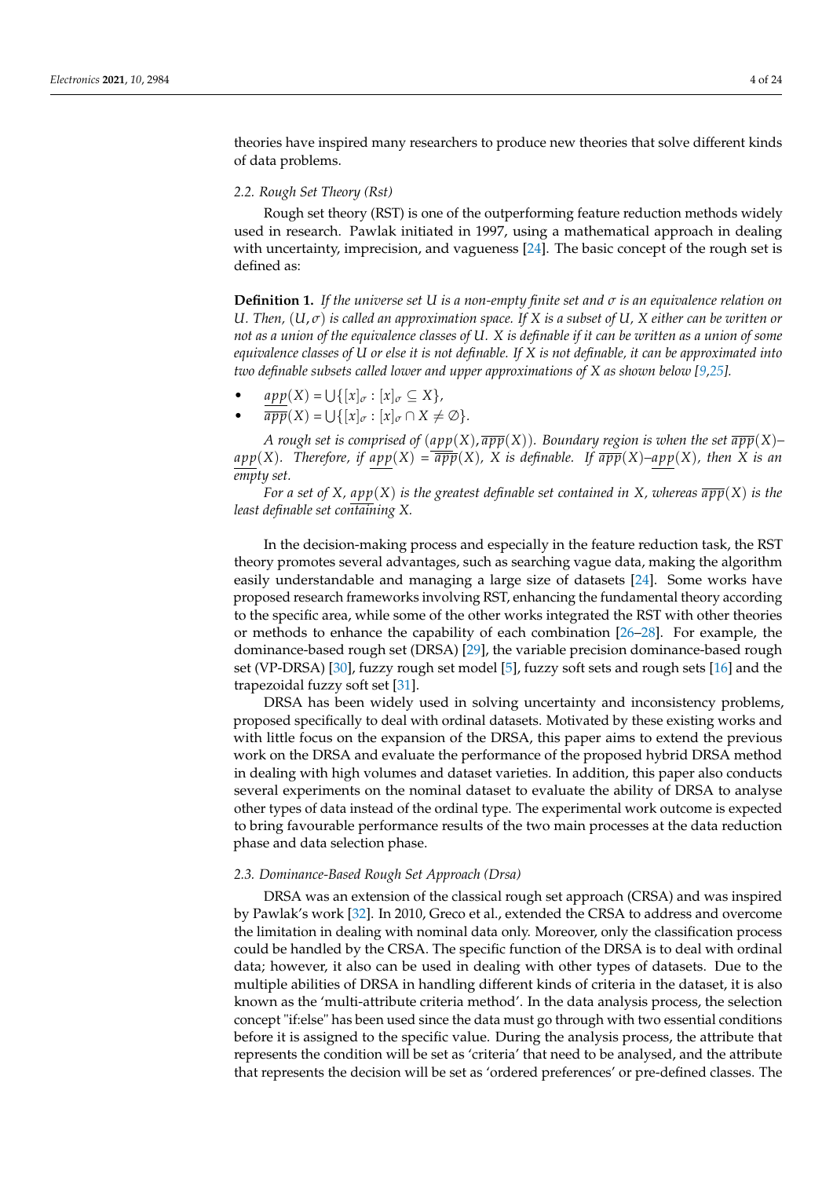theories have inspired many researchers to produce new theories that solve different kinds of data problems.

#### *2.2. Rough Set Theory (Rst)*

Rough set theory (RST) is one of the outperforming feature reduction methods widely used in research. Pawlak initiated in 1997, using a mathematical approach in dealing with uncertainty, imprecision, and vagueness [\[24\]](#page-21-17). The basic concept of the rough set is defined as:

**Definition 1.** *If the universe set U is a non-empty finite set and σ is an equivalence relation on U. Then,* (*U*, *σ*) *is called an approximation space. If X is a subset of U, X either can be written or not as a union of the equivalence classes of U. X is definable if it can be written as a union of some equivalence classes of U or else it is not definable. If X is not definable, it can be approximated into two definable subsets called lower and upper approximations of X as shown below [\[9](#page-21-2)[,25\]](#page-21-18).*

- $app(X) = \bigcup \{ [x]_{\sigma} : [x]_{\sigma} \subseteq X \},\$
- $\overline{app}(X) = \bigcup \{ [x]_{\sigma} : [x]_{\sigma} \cap X \neq \emptyset \}.$

*A rough set is comprised of*  $(app(X), \overline{app}(X))$ *. Boundary region is when the set*  $\overline{app}(X)$ *– app*(*X*). Therefore, if  $app(X) = \overline{app}(X)$ , *X* is definable. If  $\overline{app}(X)$ –app(*X*), then *X* is an *empty set.*

*For a set of X, app*(*X*) *is the greatest definable set contained in X, whereas*  $\overline{app}(X)$  *is the least definable set containing X.*

In the decision-making process and especially in the feature reduction task, the RST theory promotes several advantages, such as searching vague data, making the algorithm easily understandable and managing a large size of datasets [\[24\]](#page-21-17). Some works have proposed research frameworks involving RST, enhancing the fundamental theory according to the specific area, while some of the other works integrated the RST with other theories or methods to enhance the capability of each combination [\[26–](#page-21-19)[28\]](#page-21-20). For example, the dominance-based rough set (DRSA) [\[29\]](#page-21-21), the variable precision dominance-based rough set (VP-DRSA) [\[30\]](#page-21-22), fuzzy rough set model [\[5\]](#page-20-4), fuzzy soft sets and rough sets [\[16\]](#page-21-9) and the trapezoidal fuzzy soft set [\[31\]](#page-21-23).

DRSA has been widely used in solving uncertainty and inconsistency problems, proposed specifically to deal with ordinal datasets. Motivated by these existing works and with little focus on the expansion of the DRSA, this paper aims to extend the previous work on the DRSA and evaluate the performance of the proposed hybrid DRSA method in dealing with high volumes and dataset varieties. In addition, this paper also conducts several experiments on the nominal dataset to evaluate the ability of DRSA to analyse other types of data instead of the ordinal type. The experimental work outcome is expected to bring favourable performance results of the two main processes at the data reduction phase and data selection phase.

#### *2.3. Dominance-Based Rough Set Approach (Drsa)*

DRSA was an extension of the classical rough set approach (CRSA) and was inspired by Pawlak's work [\[32\]](#page-21-24). In 2010, Greco et al., extended the CRSA to address and overcome the limitation in dealing with nominal data only. Moreover, only the classification process could be handled by the CRSA. The specific function of the DRSA is to deal with ordinal data; however, it also can be used in dealing with other types of datasets. Due to the multiple abilities of DRSA in handling different kinds of criteria in the dataset, it is also known as the 'multi-attribute criteria method'. In the data analysis process, the selection concept "if:else" has been used since the data must go through with two essential conditions before it is assigned to the specific value. During the analysis process, the attribute that represents the condition will be set as 'criteria' that need to be analysed, and the attribute that represents the decision will be set as 'ordered preferences' or pre-defined classes. The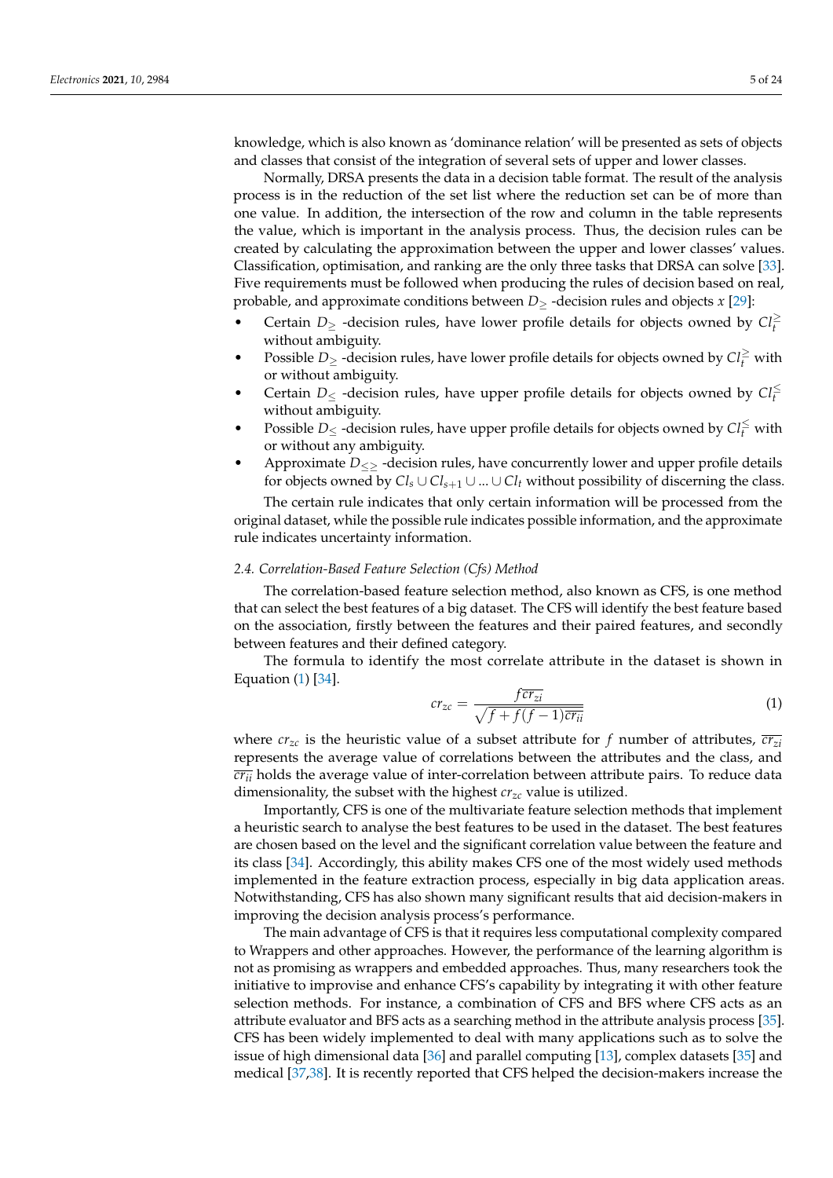knowledge, which is also known as 'dominance relation' will be presented as sets of objects and classes that consist of the integration of several sets of upper and lower classes.

Normally, DRSA presents the data in a decision table format. The result of the analysis process is in the reduction of the set list where the reduction set can be of more than one value. In addition, the intersection of the row and column in the table represents the value, which is important in the analysis process. Thus, the decision rules can be created by calculating the approximation between the upper and lower classes' values. Classification, optimisation, and ranking are the only three tasks that DRSA can solve [\[33\]](#page-21-25). Five requirements must be followed when producing the rules of decision based on real, probable, and approximate conditions between *D*≥ -decision rules and objects *x* [\[29\]](#page-21-21):

- Certain *D*<sup>≥</sup> -decision rules, have lower profile details for objects owned by *Cl*<sup>≥</sup> *t* without ambiguity.
- Possible *D*<sup>≥</sup> -decision rules, have lower profile details for objects owned by *Cl*<sup>≥</sup> *<sup>t</sup>* with or without ambiguity.
- Certain  $D_{\leq}$  -decision rules, have upper profile details for objects owned by  $Cl_f^{\leq}$ without ambiguity.
- Possible *D*<sup>≤</sup> -decision rules, have upper profile details for objects owned by *Cl*<sup>≤</sup> *<sup>t</sup>* with or without any ambiguity.
- Approximate *D*≤≥ -decision rules, have concurrently lower and upper profile details for objects owned by  $Cl_s \cup Cl_{s+1} \cup ... \cup Cl_t$  without possibility of discerning the class.

The certain rule indicates that only certain information will be processed from the original dataset, while the possible rule indicates possible information, and the approximate rule indicates uncertainty information.

#### *2.4. Correlation-Based Feature Selection (Cfs) Method*

The correlation-based feature selection method, also known as CFS, is one method that can select the best features of a big dataset. The CFS will identify the best feature based on the association, firstly between the features and their paired features, and secondly between features and their defined category.

The formula to identify the most correlate attribute in the dataset is shown in Equation [\(1\)](#page-4-0) [\[34\]](#page-21-26).

<span id="page-4-0"></span>
$$
cr_{zc} = \frac{f\overline{cr_{zi}}}{\sqrt{f + f(f - 1)\overline{cr_{ii}}}}
$$
\n(1)

where  $cr_{zc}$  is the heuristic value of a subset attribute for f number of attributes,  $\overline{cr_{zi}}$ represents the average value of correlations between the attributes and the class, and  $\overline{cr_{ii}}$  holds the average value of inter-correlation between attribute pairs. To reduce data dimensionality, the subset with the highest *crzc* value is utilized.

Importantly, CFS is one of the multivariate feature selection methods that implement a heuristic search to analyse the best features to be used in the dataset. The best features are chosen based on the level and the significant correlation value between the feature and its class [\[34\]](#page-21-26). Accordingly, this ability makes CFS one of the most widely used methods implemented in the feature extraction process, especially in big data application areas. Notwithstanding, CFS has also shown many significant results that aid decision-makers in improving the decision analysis process's performance.

The main advantage of CFS is that it requires less computational complexity compared to Wrappers and other approaches. However, the performance of the learning algorithm is not as promising as wrappers and embedded approaches. Thus, many researchers took the initiative to improvise and enhance CFS's capability by integrating it with other feature selection methods. For instance, a combination of CFS and BFS where CFS acts as an attribute evaluator and BFS acts as a searching method in the attribute analysis process [\[35\]](#page-21-27). CFS has been widely implemented to deal with many applications such as to solve the issue of high dimensional data [\[36\]](#page-21-28) and parallel computing [\[13\]](#page-21-6), complex datasets [\[35\]](#page-21-27) and medical [\[37,](#page-21-29)[38\]](#page-21-30). It is recently reported that CFS helped the decision-makers increase the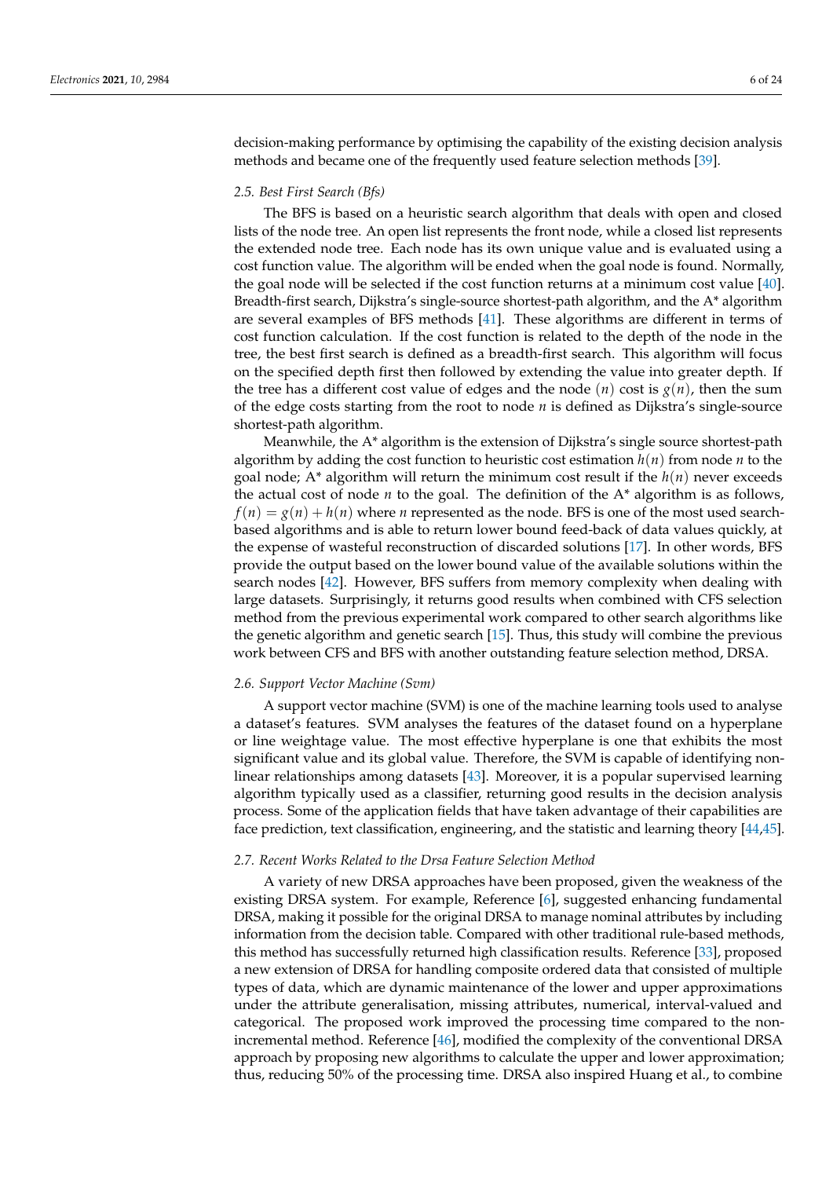decision-making performance by optimising the capability of the existing decision analysis methods and became one of the frequently used feature selection methods [\[39\]](#page-22-0).

#### *2.5. Best First Search (Bfs)*

The BFS is based on a heuristic search algorithm that deals with open and closed lists of the node tree. An open list represents the front node, while a closed list represents the extended node tree. Each node has its own unique value and is evaluated using a cost function value. The algorithm will be ended when the goal node is found. Normally, the goal node will be selected if the cost function returns at a minimum cost value [\[40\]](#page-22-1). Breadth-first search, Dijkstra's single-source shortest-path algorithm, and the A\* algorithm are several examples of BFS methods [\[41\]](#page-22-2). These algorithms are different in terms of cost function calculation. If the cost function is related to the depth of the node in the tree, the best first search is defined as a breadth-first search. This algorithm will focus on the specified depth first then followed by extending the value into greater depth. If the tree has a different cost value of edges and the node  $(n)$  cost is  $g(n)$ , then the sum of the edge costs starting from the root to node *n* is defined as Dijkstra's single-source shortest-path algorithm.

Meanwhile, the A\* algorithm is the extension of Dijkstra's single source shortest-path algorithm by adding the cost function to heuristic cost estimation  $h(n)$  from node *n* to the goal node; A\* algorithm will return the minimum cost result if the *h*(*n*) never exceeds the actual cost of node *n* to the goal. The definition of the A\* algorithm is as follows,  $f(n) = g(n) + h(n)$  where *n* represented as the node. BFS is one of the most used searchbased algorithms and is able to return lower bound feed-back of data values quickly, at the expense of wasteful reconstruction of discarded solutions [\[17\]](#page-21-10). In other words, BFS provide the output based on the lower bound value of the available solutions within the search nodes [\[42\]](#page-22-3). However, BFS suffers from memory complexity when dealing with large datasets. Surprisingly, it returns good results when combined with CFS selection method from the previous experimental work compared to other search algorithms like the genetic algorithm and genetic search [\[15\]](#page-21-8). Thus, this study will combine the previous work between CFS and BFS with another outstanding feature selection method, DRSA.

#### *2.6. Support Vector Machine (Svm)*

A support vector machine (SVM) is one of the machine learning tools used to analyse a dataset's features. SVM analyses the features of the dataset found on a hyperplane or line weightage value. The most effective hyperplane is one that exhibits the most significant value and its global value. Therefore, the SVM is capable of identifying nonlinear relationships among datasets [\[43\]](#page-22-4). Moreover, it is a popular supervised learning algorithm typically used as a classifier, returning good results in the decision analysis process. Some of the application fields that have taken advantage of their capabilities are face prediction, text classification, engineering, and the statistic and learning theory [\[44](#page-22-5)[,45\]](#page-22-6).

#### *2.7. Recent Works Related to the Drsa Feature Selection Method*

A variety of new DRSA approaches have been proposed, given the weakness of the existing DRSA system. For example, Reference [\[6\]](#page-20-5), suggested enhancing fundamental DRSA, making it possible for the original DRSA to manage nominal attributes by including information from the decision table. Compared with other traditional rule-based methods, this method has successfully returned high classification results. Reference [\[33\]](#page-21-25), proposed a new extension of DRSA for handling composite ordered data that consisted of multiple types of data, which are dynamic maintenance of the lower and upper approximations under the attribute generalisation, missing attributes, numerical, interval-valued and categorical. The proposed work improved the processing time compared to the nonincremental method. Reference [\[46\]](#page-22-7), modified the complexity of the conventional DRSA approach by proposing new algorithms to calculate the upper and lower approximation; thus, reducing 50% of the processing time. DRSA also inspired Huang et al., to combine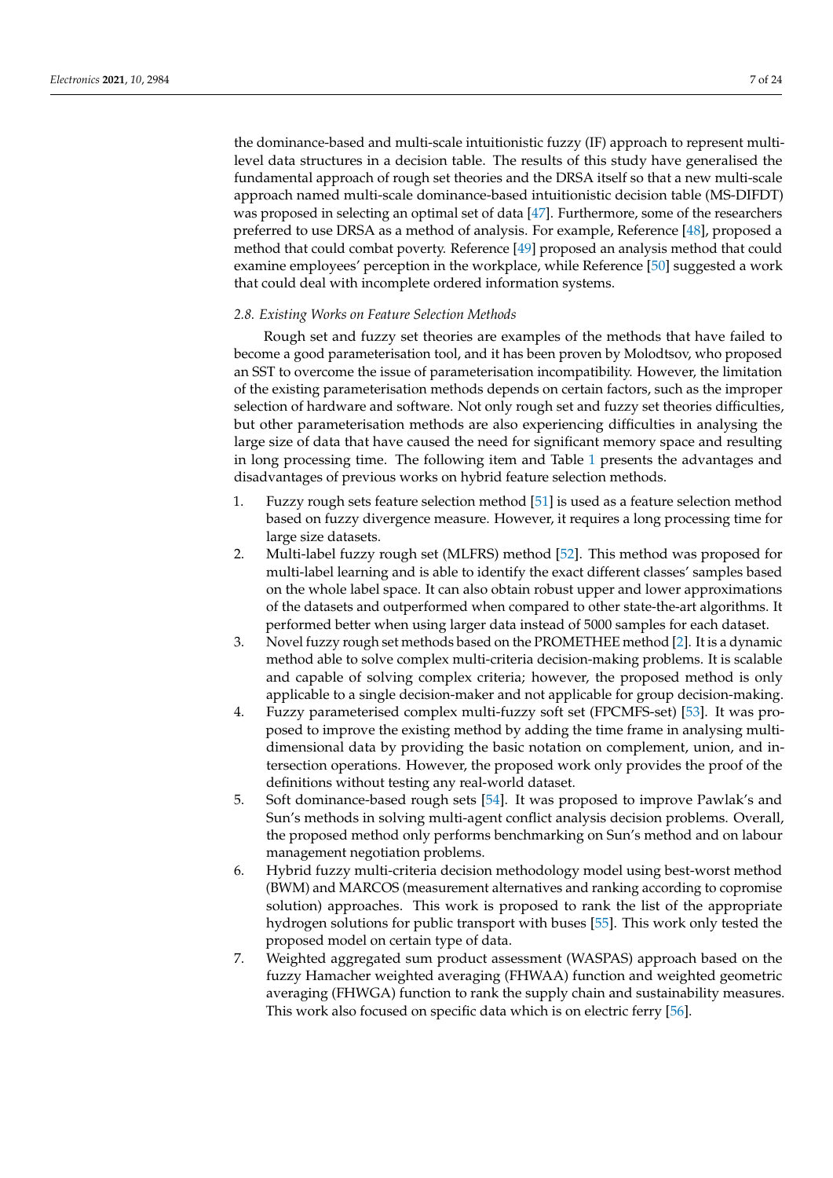the dominance-based and multi-scale intuitionistic fuzzy (IF) approach to represent multilevel data structures in a decision table. The results of this study have generalised the fundamental approach of rough set theories and the DRSA itself so that a new multi-scale approach named multi-scale dominance-based intuitionistic decision table (MS-DIFDT) was proposed in selecting an optimal set of data [\[47\]](#page-22-8). Furthermore, some of the researchers preferred to use DRSA as a method of analysis. For example, Reference [\[48\]](#page-22-9), proposed a method that could combat poverty. Reference [\[49\]](#page-22-10) proposed an analysis method that could examine employees' perception in the workplace, while Reference [\[50\]](#page-22-11) suggested a work that could deal with incomplete ordered information systems.

#### *2.8. Existing Works on Feature Selection Methods*

Rough set and fuzzy set theories are examples of the methods that have failed to become a good parameterisation tool, and it has been proven by Molodtsov, who proposed an SST to overcome the issue of parameterisation incompatibility. However, the limitation of the existing parameterisation methods depends on certain factors, such as the improper selection of hardware and software. Not only rough set and fuzzy set theories difficulties, but other parameterisation methods are also experiencing difficulties in analysing the large size of data that have caused the need for significant memory space and resulting in long processing time. The following item and Table [1](#page-7-1) presents the advantages and disadvantages of previous works on hybrid feature selection methods.

- 1. Fuzzy rough sets feature selection method [\[51\]](#page-22-12) is used as a feature selection method based on fuzzy divergence measure. However, it requires a long processing time for large size datasets.
- 2. Multi-label fuzzy rough set (MLFRS) method [\[52\]](#page-22-13). This method was proposed for multi-label learning and is able to identify the exact different classes' samples based on the whole label space. It can also obtain robust upper and lower approximations of the datasets and outperformed when compared to other state-the-art algorithms. It performed better when using larger data instead of 5000 samples for each dataset.
- 3. Novel fuzzy rough set methods based on the PROMETHEE method [\[2\]](#page-20-1). It is a dynamic method able to solve complex multi-criteria decision-making problems. It is scalable and capable of solving complex criteria; however, the proposed method is only applicable to a single decision-maker and not applicable for group decision-making.
- 4. Fuzzy parameterised complex multi-fuzzy soft set (FPCMFS-set) [\[53\]](#page-22-14). It was proposed to improve the existing method by adding the time frame in analysing multidimensional data by providing the basic notation on complement, union, and intersection operations. However, the proposed work only provides the proof of the definitions without testing any real-world dataset.
- 5. Soft dominance-based rough sets [\[54\]](#page-22-15). It was proposed to improve Pawlak's and Sun's methods in solving multi-agent conflict analysis decision problems. Overall, the proposed method only performs benchmarking on Sun's method and on labour management negotiation problems.
- 6. Hybrid fuzzy multi-criteria decision methodology model using best-worst method (BWM) and MARCOS (measurement alternatives and ranking according to copromise solution) approaches. This work is proposed to rank the list of the appropriate hydrogen solutions for public transport with buses [\[55\]](#page-22-16). This work only tested the proposed model on certain type of data.
- 7. Weighted aggregated sum product assessment (WASPAS) approach based on the fuzzy Hamacher weighted averaging (FHWAA) function and weighted geometric averaging (FHWGA) function to rank the supply chain and sustainability measures. This work also focused on specific data which is on electric ferry [\[56\]](#page-22-17).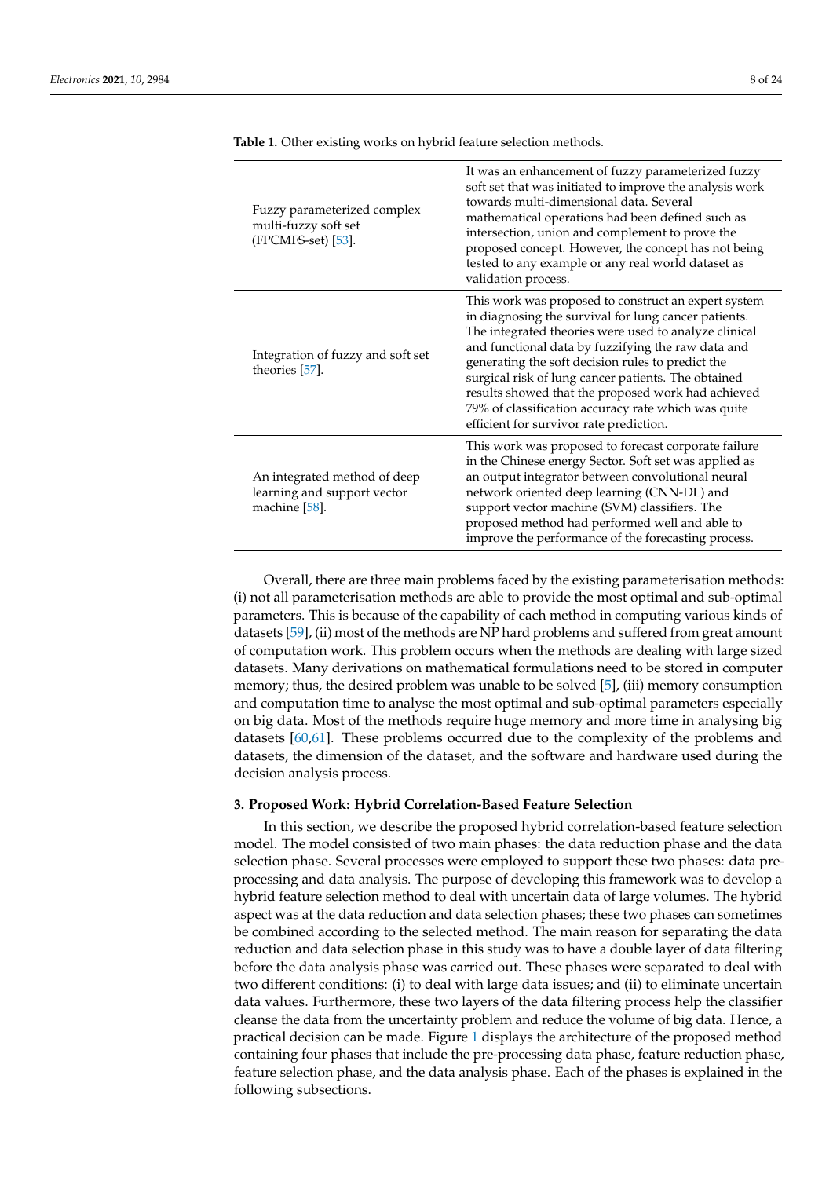| Fuzzy parameterized complex<br>multi-fuzzy soft set<br>$(FPCMFS-set)$ [53].  | It was an enhancement of fuzzy parameterized fuzzy<br>soft set that was initiated to improve the analysis work<br>towards multi-dimensional data. Several<br>mathematical operations had been defined such as<br>intersection, union and complement to prove the<br>proposed concept. However, the concept has not being<br>tested to any example or any real world dataset as<br>validation process.                                                                                           |
|------------------------------------------------------------------------------|-------------------------------------------------------------------------------------------------------------------------------------------------------------------------------------------------------------------------------------------------------------------------------------------------------------------------------------------------------------------------------------------------------------------------------------------------------------------------------------------------|
| Integration of fuzzy and soft set<br>theories [57].                          | This work was proposed to construct an expert system<br>in diagnosing the survival for lung cancer patients.<br>The integrated theories were used to analyze clinical<br>and functional data by fuzzifying the raw data and<br>generating the soft decision rules to predict the<br>surgical risk of lung cancer patients. The obtained<br>results showed that the proposed work had achieved<br>79% of classification accuracy rate which was quite<br>efficient for survivor rate prediction. |
| An integrated method of deep<br>learning and support vector<br>machine [58]. | This work was proposed to forecast corporate failure<br>in the Chinese energy Sector. Soft set was applied as<br>an output integrator between convolutional neural<br>network oriented deep learning (CNN-DL) and<br>support vector machine (SVM) classifiers. The<br>proposed method had performed well and able to<br>improve the performance of the forecasting process.                                                                                                                     |

<span id="page-7-1"></span>**Table 1.** Other existing works on hybrid feature selection methods.

Overall, there are three main problems faced by the existing parameterisation methods: (i) not all parameterisation methods are able to provide the most optimal and sub-optimal parameters. This is because of the capability of each method in computing various kinds of datasets [\[59\]](#page-22-20), (ii) most of the methods are NP hard problems and suffered from great amount of computation work. This problem occurs when the methods are dealing with large sized datasets. Many derivations on mathematical formulations need to be stored in computer memory; thus, the desired problem was unable to be solved [\[5\]](#page-20-4), (iii) memory consumption and computation time to analyse the most optimal and sub-optimal parameters especially on big data. Most of the methods require huge memory and more time in analysing big datasets [\[60](#page-22-21)[,61\]](#page-22-22). These problems occurred due to the complexity of the problems and datasets, the dimension of the dataset, and the software and hardware used during the decision analysis process.

## <span id="page-7-0"></span>**3. Proposed Work: Hybrid Correlation-Based Feature Selection**

In this section, we describe the proposed hybrid correlation-based feature selection model. The model consisted of two main phases: the data reduction phase and the data selection phase. Several processes were employed to support these two phases: data preprocessing and data analysis. The purpose of developing this framework was to develop a hybrid feature selection method to deal with uncertain data of large volumes. The hybrid aspect was at the data reduction and data selection phases; these two phases can sometimes be combined according to the selected method. The main reason for separating the data reduction and data selection phase in this study was to have a double layer of data filtering before the data analysis phase was carried out. These phases were separated to deal with two different conditions: (i) to deal with large data issues; and (ii) to eliminate uncertain data values. Furthermore, these two layers of the data filtering process help the classifier cleanse the data from the uncertainty problem and reduce the volume of big data. Hence, a practical decision can be made. Figure [1](#page-8-0) displays the architecture of the proposed method containing four phases that include the pre-processing data phase, feature reduction phase, feature selection phase, and the data analysis phase. Each of the phases is explained in the following subsections.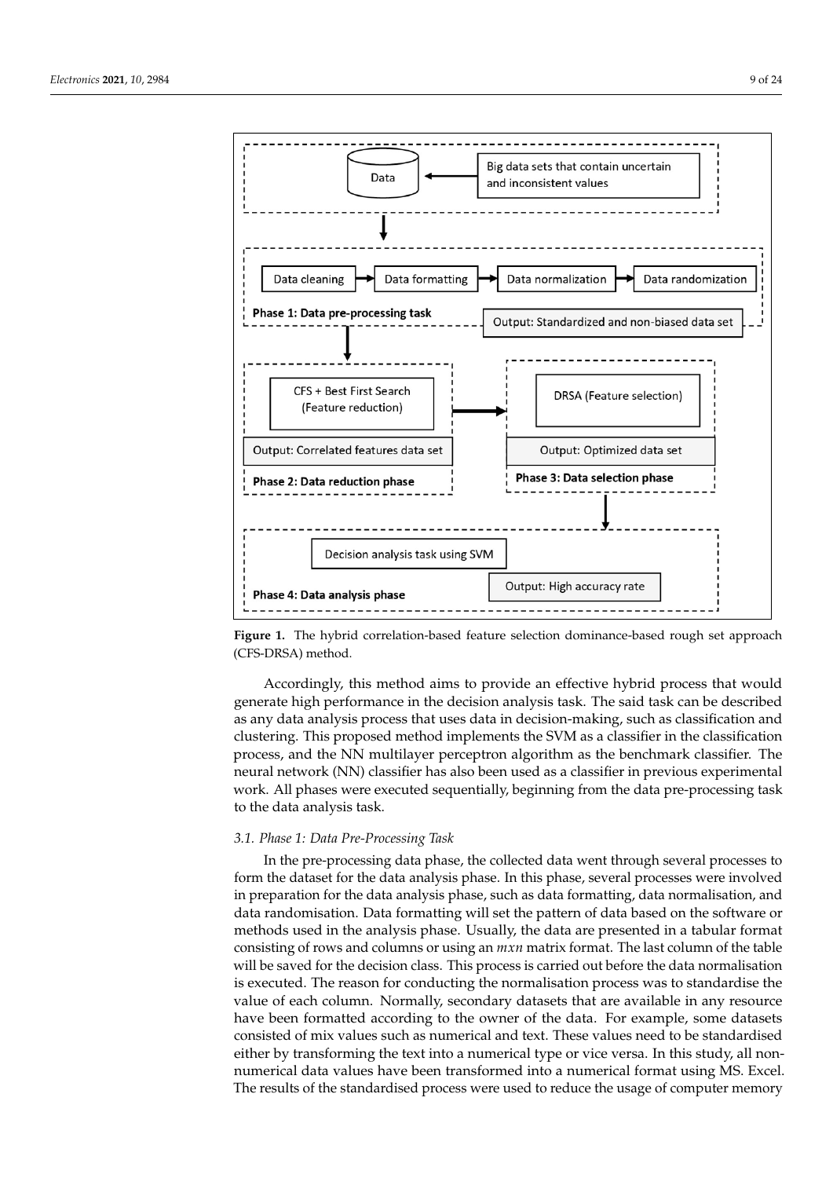<span id="page-8-0"></span>

**Figure 1.** The hybrid correlation-based feature selection dominance-based rough set approach (CFS-DRSA) method.

Accordingly, this method aims to provide an effective hybrid process that would generate high performance in the decision analysis task. The said task can be described as any data analysis process that uses data in decision-making, such as classification and clustering. This proposed method implements the SVM as a classifier in the classification process, and the NN multilayer perceptron algorithm as the benchmark classifier. The neural network (NN) classifier has also been used as a classifier in previous experimental work. All phases were executed sequentially, beginning from the data pre-processing task to the data analysis task.

#### *3.1. Phase 1: Data Pre-Processing Task*

In the pre-processing data phase, the collected data went through several processes to form the dataset for the data analysis phase. In this phase, several processes were involved in preparation for the data analysis phase, such as data formatting, data normalisation, and data randomisation. Data formatting will set the pattern of data based on the software or methods used in the analysis phase. Usually, the data are presented in a tabular format consisting of rows and columns or using an *mxn* matrix format. The last column of the table will be saved for the decision class. This process is carried out before the data normalisation is executed. The reason for conducting the normalisation process was to standardise the value of each column. Normally, secondary datasets that are available in any resource have been formatted according to the owner of the data. For example, some datasets consisted of mix values such as numerical and text. These values need to be standardised either by transforming the text into a numerical type or vice versa. In this study, all nonnumerical data values have been transformed into a numerical format using MS. Excel. The results of the standardised process were used to reduce the usage of computer memory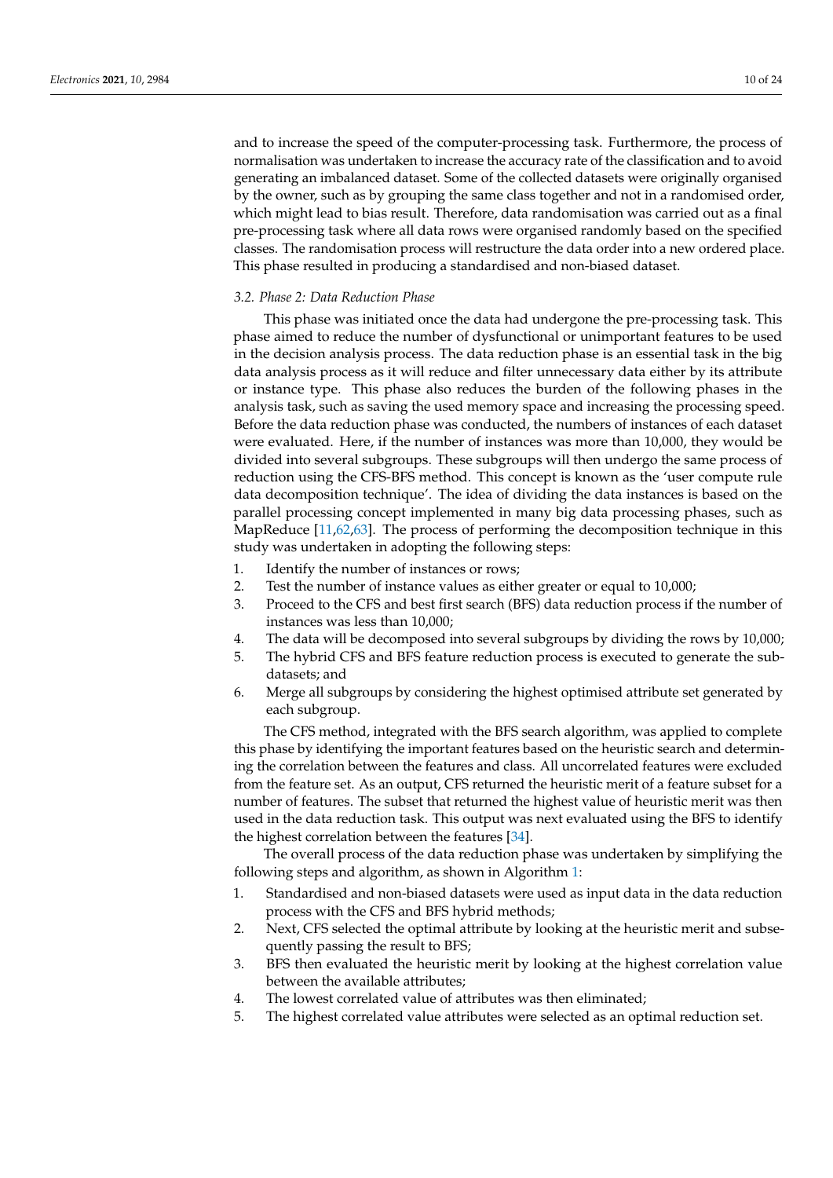and to increase the speed of the computer-processing task. Furthermore, the process of normalisation was undertaken to increase the accuracy rate of the classification and to avoid generating an imbalanced dataset. Some of the collected datasets were originally organised by the owner, such as by grouping the same class together and not in a randomised order, which might lead to bias result. Therefore, data randomisation was carried out as a final pre-processing task where all data rows were organised randomly based on the specified classes. The randomisation process will restructure the data order into a new ordered place. This phase resulted in producing a standardised and non-biased dataset.

## *3.2. Phase 2: Data Reduction Phase*

This phase was initiated once the data had undergone the pre-processing task. This phase aimed to reduce the number of dysfunctional or unimportant features to be used in the decision analysis process. The data reduction phase is an essential task in the big data analysis process as it will reduce and filter unnecessary data either by its attribute or instance type. This phase also reduces the burden of the following phases in the analysis task, such as saving the used memory space and increasing the processing speed. Before the data reduction phase was conducted, the numbers of instances of each dataset were evaluated. Here, if the number of instances was more than 10,000, they would be divided into several subgroups. These subgroups will then undergo the same process of reduction using the CFS-BFS method. This concept is known as the 'user compute rule data decomposition technique'. The idea of dividing the data instances is based on the parallel processing concept implemented in many big data processing phases, such as MapReduce [\[11](#page-21-4)[,62](#page-22-23)[,63\]](#page-22-24). The process of performing the decomposition technique in this study was undertaken in adopting the following steps:

- 1. Identify the number of instances or rows;
- 2. Test the number of instance values as either greater or equal to 10,000;
- 3. Proceed to the CFS and best first search (BFS) data reduction process if the number of instances was less than 10,000;
- 4. The data will be decomposed into several subgroups by dividing the rows by 10,000;
- 5. The hybrid CFS and BFS feature reduction process is executed to generate the subdatasets; and
- 6. Merge all subgroups by considering the highest optimised attribute set generated by each subgroup.

The CFS method, integrated with the BFS search algorithm, was applied to complete this phase by identifying the important features based on the heuristic search and determining the correlation between the features and class. All uncorrelated features were excluded from the feature set. As an output, CFS returned the heuristic merit of a feature subset for a number of features. The subset that returned the highest value of heuristic merit was then used in the data reduction task. This output was next evaluated using the BFS to identify the highest correlation between the features [\[34\]](#page-21-26).

The overall process of the data reduction phase was undertaken by simplifying the following steps and algorithm, as shown in Algorithm [1:](#page-10-0)

- 1. Standardised and non-biased datasets were used as input data in the data reduction process with the CFS and BFS hybrid methods;
- 2. Next, CFS selected the optimal attribute by looking at the heuristic merit and subsequently passing the result to BFS;
- 3. BFS then evaluated the heuristic merit by looking at the highest correlation value between the available attributes;
- 4. The lowest correlated value of attributes was then eliminated;
- 5. The highest correlated value attributes were selected as an optimal reduction set.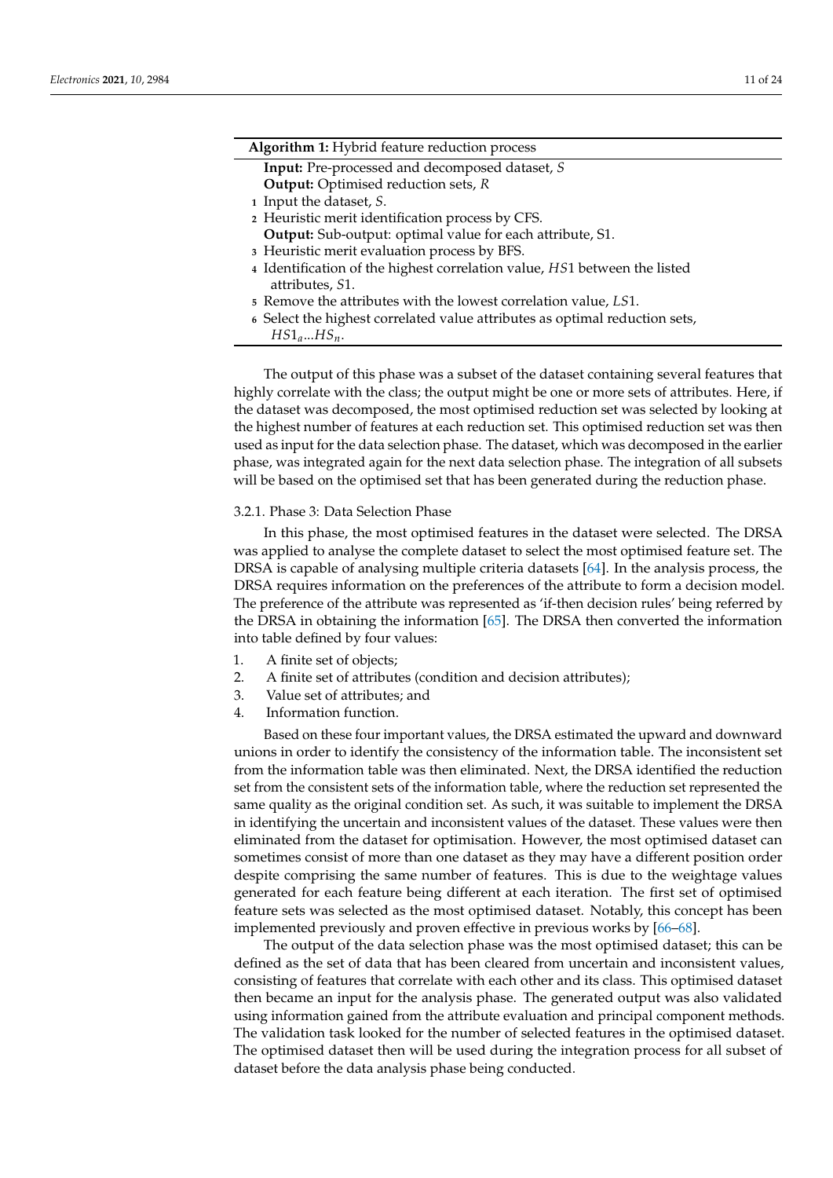<span id="page-10-0"></span>

| Algorithm 1: Hybrid feature reduction process                             |
|---------------------------------------------------------------------------|
| <b>Input:</b> Pre-processed and decomposed dataset, S                     |
| <b>Output:</b> Optimised reduction sets, R                                |
| 1 Input the dataset, S.                                                   |
| 2 Heuristic merit identification process by CFS.                          |
| Output: Sub-output: optimal value for each attribute, S1.                 |
| 3 Heuristic merit evaluation process by BFS.                              |
| 4 Identification of the highest correlation value, HS1 between the listed |
| attributes, S1.                                                           |
| $\epsilon$ Remove the attributes with the lowest correlation value I C1   |

- **<sup>5</sup>** Remove the attributes with the lowest correlation value, *LS*1.
- **6** Select the highest correlated value attributes as optimal reduction sets,
	- *HS*1*a*...*HSn*.

The output of this phase was a subset of the dataset containing several features that highly correlate with the class; the output might be one or more sets of attributes. Here, if the dataset was decomposed, the most optimised reduction set was selected by looking at the highest number of features at each reduction set. This optimised reduction set was then used as input for the data selection phase. The dataset, which was decomposed in the earlier phase, was integrated again for the next data selection phase. The integration of all subsets will be based on the optimised set that has been generated during the reduction phase.

## 3.2.1. Phase 3: Data Selection Phase

In this phase, the most optimised features in the dataset were selected. The DRSA was applied to analyse the complete dataset to select the most optimised feature set. The DRSA is capable of analysing multiple criteria datasets [\[64\]](#page-22-25). In the analysis process, the DRSA requires information on the preferences of the attribute to form a decision model. The preference of the attribute was represented as 'if-then decision rules' being referred by the DRSA in obtaining the information [\[65\]](#page-22-26). The DRSA then converted the information into table defined by four values:

- 1. A finite set of objects;
- 2. A finite set of attributes (condition and decision attributes);
- 3. Value set of attributes; and
- 4. Information function.

Based on these four important values, the DRSA estimated the upward and downward unions in order to identify the consistency of the information table. The inconsistent set from the information table was then eliminated. Next, the DRSA identified the reduction set from the consistent sets of the information table, where the reduction set represented the same quality as the original condition set. As such, it was suitable to implement the DRSA in identifying the uncertain and inconsistent values of the dataset. These values were then eliminated from the dataset for optimisation. However, the most optimised dataset can sometimes consist of more than one dataset as they may have a different position order despite comprising the same number of features. This is due to the weightage values generated for each feature being different at each iteration. The first set of optimised feature sets was selected as the most optimised dataset. Notably, this concept has been implemented previously and proven effective in previous works by [\[66](#page-22-27)[–68\]](#page-23-0).

The output of the data selection phase was the most optimised dataset; this can be defined as the set of data that has been cleared from uncertain and inconsistent values, consisting of features that correlate with each other and its class. This optimised dataset then became an input for the analysis phase. The generated output was also validated using information gained from the attribute evaluation and principal component methods. The validation task looked for the number of selected features in the optimised dataset. The optimised dataset then will be used during the integration process for all subset of dataset before the data analysis phase being conducted.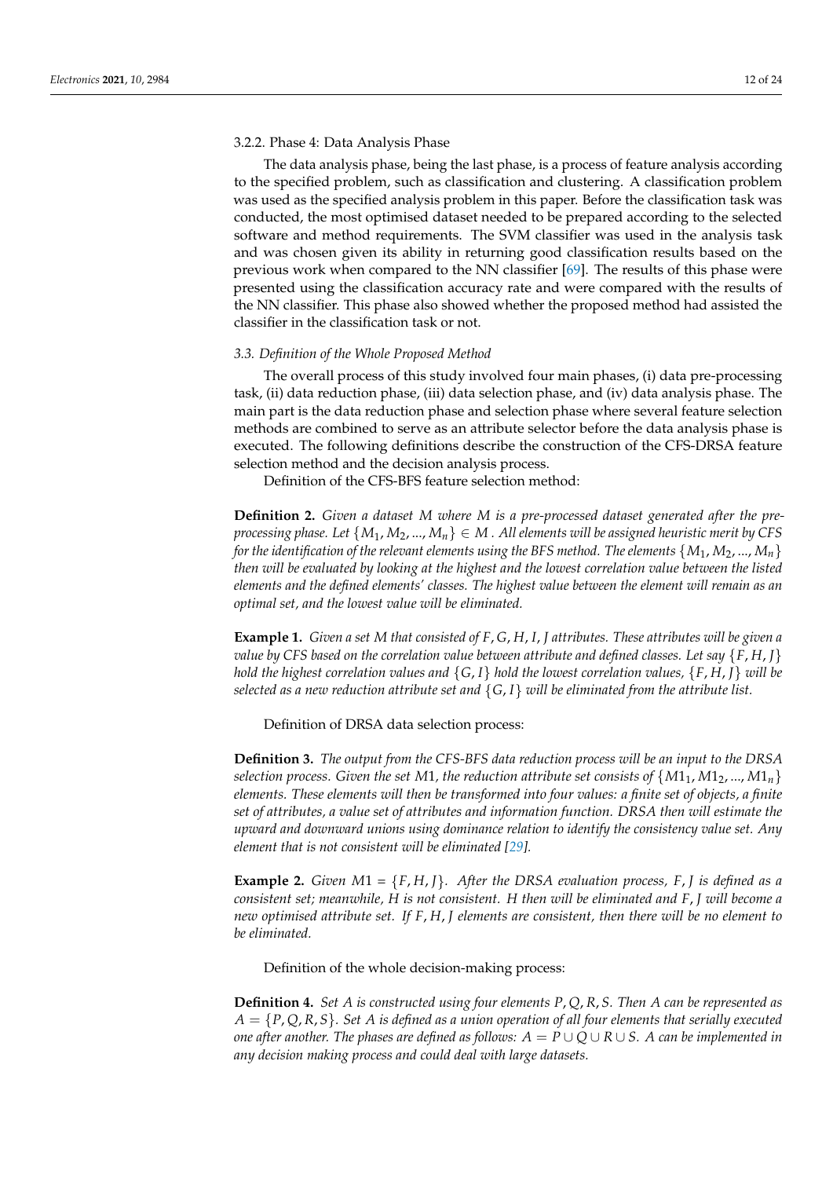## 3.2.2. Phase 4: Data Analysis Phase

The data analysis phase, being the last phase, is a process of feature analysis according to the specified problem, such as classification and clustering. A classification problem was used as the specified analysis problem in this paper. Before the classification task was conducted, the most optimised dataset needed to be prepared according to the selected software and method requirements. The SVM classifier was used in the analysis task and was chosen given its ability in returning good classification results based on the previous work when compared to the NN classifier [\[69\]](#page-23-1). The results of this phase were presented using the classification accuracy rate and were compared with the results of the NN classifier. This phase also showed whether the proposed method had assisted the classifier in the classification task or not.

#### *3.3. Definition of the Whole Proposed Method*

The overall process of this study involved four main phases, (i) data pre-processing task, (ii) data reduction phase, (iii) data selection phase, and (iv) data analysis phase. The main part is the data reduction phase and selection phase where several feature selection methods are combined to serve as an attribute selector before the data analysis phase is executed. The following definitions describe the construction of the CFS-DRSA feature selection method and the decision analysis process.

Definition of the CFS-BFS feature selection method:

**Definition 2.** *Given a dataset M where M is a pre-processed dataset generated after the preprocessing phase. Let*  $\{M_1, M_2, ..., M_n\} \in M$ . All elements will be assigned heuristic merit by CFS *for the identification of the relevant elements using the BFS method. The elements*  $\{M_1, M_2, ..., M_n\}$ *then will be evaluated by looking at the highest and the lowest correlation value between the listed elements and the defined elements' classes. The highest value between the element will remain as an optimal set, and the lowest value will be eliminated.*

**Example 1.** *Given a set M that consisted of F*, *G*, *H*, *I*, *J attributes. These attributes will be given a value by CFS based on the correlation value between attribute and defined classes. Let say*  $\{F, H, J\}$ *hold the highest correlation values and* {*G*, *I*} *hold the lowest correlation values,* {*F*, *H*, *J*} *will be selected as a new reduction attribute set and* {*G*, *I*} *will be eliminated from the attribute list.*

Definition of DRSA data selection process:

**Definition 3.** *The output from the CFS-BFS data reduction process will be an input to the DRSA selection process. Given the set M1, the reduction attribute set consists of*  $\{M_1, M_2, ..., M_{1n}\}$ *elements. These elements will then be transformed into four values: a finite set of objects, a finite set of attributes, a value set of attributes and information function. DRSA then will estimate the upward and downward unions using dominance relation to identify the consistency value set. Any element that is not consistent will be eliminated [\[29\]](#page-21-21).*

**Example 2.** *Given*  $M1 = \{F, H, I\}$ *. After the DRSA evaluation process,*  $F, I$  *is defined as a consistent set; meanwhile, H is not consistent. H then will be eliminated and F*, *J will become a new optimised attribute set. If F*, *H*, *J elements are consistent, then there will be no element to be eliminated.*

## Definition of the whole decision-making process:

**Definition 4.** *Set A is constructed using four elements P*, *Q*, *R*, *S. Then A can be represented as A* = {*P*, *Q*, *R*, *S*}*. Set A is defined as a union operation of all four elements that serially executed one after another. The phases are defined as follows:*  $A = P \cup Q \cup R \cup S$ . A can be implemented in *any decision making process and could deal with large datasets.*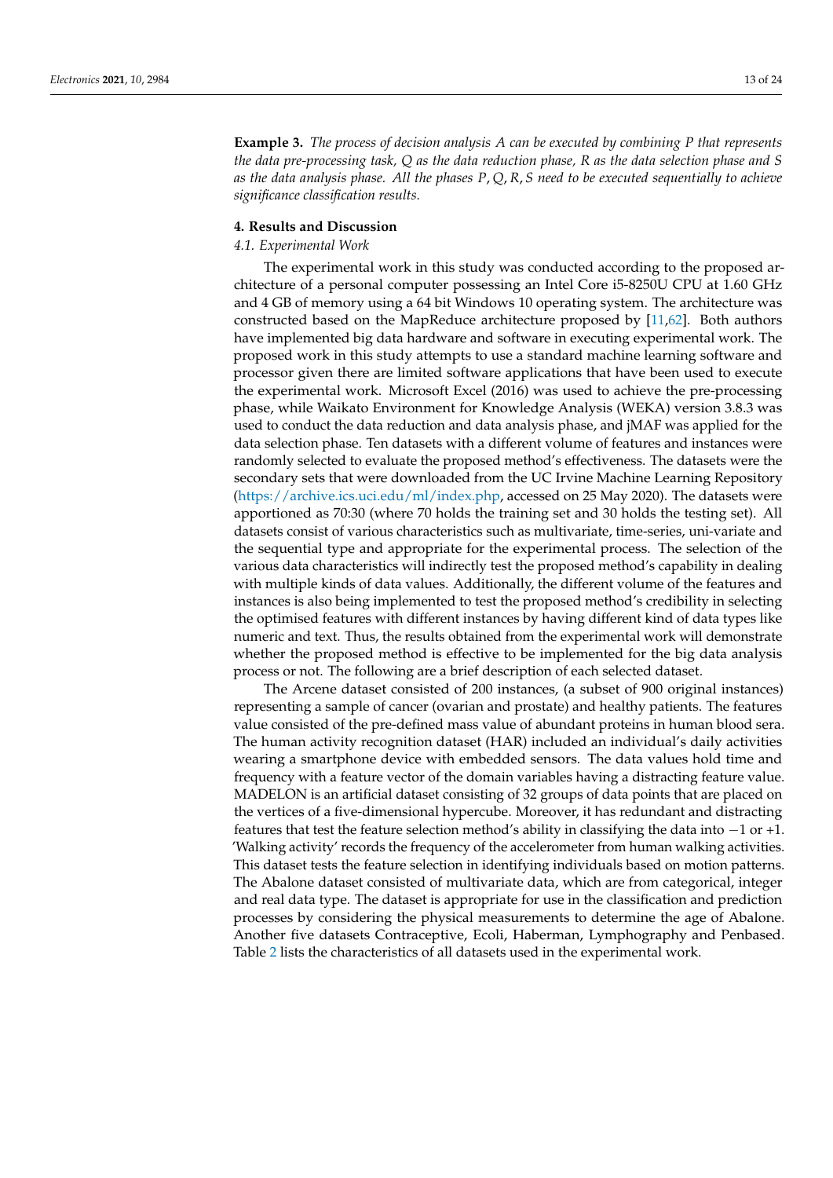**Example 3.** *The process of decision analysis A can be executed by combining P that represents the data pre-processing task, Q as the data reduction phase, R as the data selection phase and S as the data analysis phase. All the phases P*, *Q*, *R*, *S need to be executed sequentially to achieve significance classification results.*

#### <span id="page-12-0"></span>**4. Results and Discussion**

## *4.1. Experimental Work*

The experimental work in this study was conducted according to the proposed architecture of a personal computer possessing an Intel Core i5-8250U CPU at 1.60 GHz and 4 GB of memory using a 64 bit Windows 10 operating system. The architecture was constructed based on the MapReduce architecture proposed by [\[11](#page-21-4)[,62\]](#page-22-23). Both authors have implemented big data hardware and software in executing experimental work. The proposed work in this study attempts to use a standard machine learning software and processor given there are limited software applications that have been used to execute the experimental work. Microsoft Excel (2016) was used to achieve the pre-processing phase, while Waikato Environment for Knowledge Analysis (WEKA) version 3.8.3 was used to conduct the data reduction and data analysis phase, and jMAF was applied for the data selection phase. Ten datasets with a different volume of features and instances were randomly selected to evaluate the proposed method's effectiveness. The datasets were the secondary sets that were downloaded from the UC Irvine Machine Learning Repository [\(https://archive.ics.uci.edu/ml/index.php,](https://archive.ics.uci.edu/ml/index.php) accessed on 25 May 2020). The datasets were apportioned as 70:30 (where 70 holds the training set and 30 holds the testing set). All datasets consist of various characteristics such as multivariate, time-series, uni-variate and the sequential type and appropriate for the experimental process. The selection of the various data characteristics will indirectly test the proposed method's capability in dealing with multiple kinds of data values. Additionally, the different volume of the features and instances is also being implemented to test the proposed method's credibility in selecting the optimised features with different instances by having different kind of data types like numeric and text. Thus, the results obtained from the experimental work will demonstrate whether the proposed method is effective to be implemented for the big data analysis process or not. The following are a brief description of each selected dataset.

The Arcene dataset consisted of 200 instances, (a subset of 900 original instances) representing a sample of cancer (ovarian and prostate) and healthy patients. The features value consisted of the pre-defined mass value of abundant proteins in human blood sera. The human activity recognition dataset (HAR) included an individual's daily activities wearing a smartphone device with embedded sensors. The data values hold time and frequency with a feature vector of the domain variables having a distracting feature value. MADELON is an artificial dataset consisting of 32 groups of data points that are placed on the vertices of a five-dimensional hypercube. Moreover, it has redundant and distracting features that test the feature selection method's ability in classifying the data into −1 or +1. 'Walking activity' records the frequency of the accelerometer from human walking activities. This dataset tests the feature selection in identifying individuals based on motion patterns. The Abalone dataset consisted of multivariate data, which are from categorical, integer and real data type. The dataset is appropriate for use in the classification and prediction processes by considering the physical measurements to determine the age of Abalone. Another five datasets Contraceptive, Ecoli, Haberman, Lymphography and Penbased. Table [2](#page-13-0) lists the characteristics of all datasets used in the experimental work.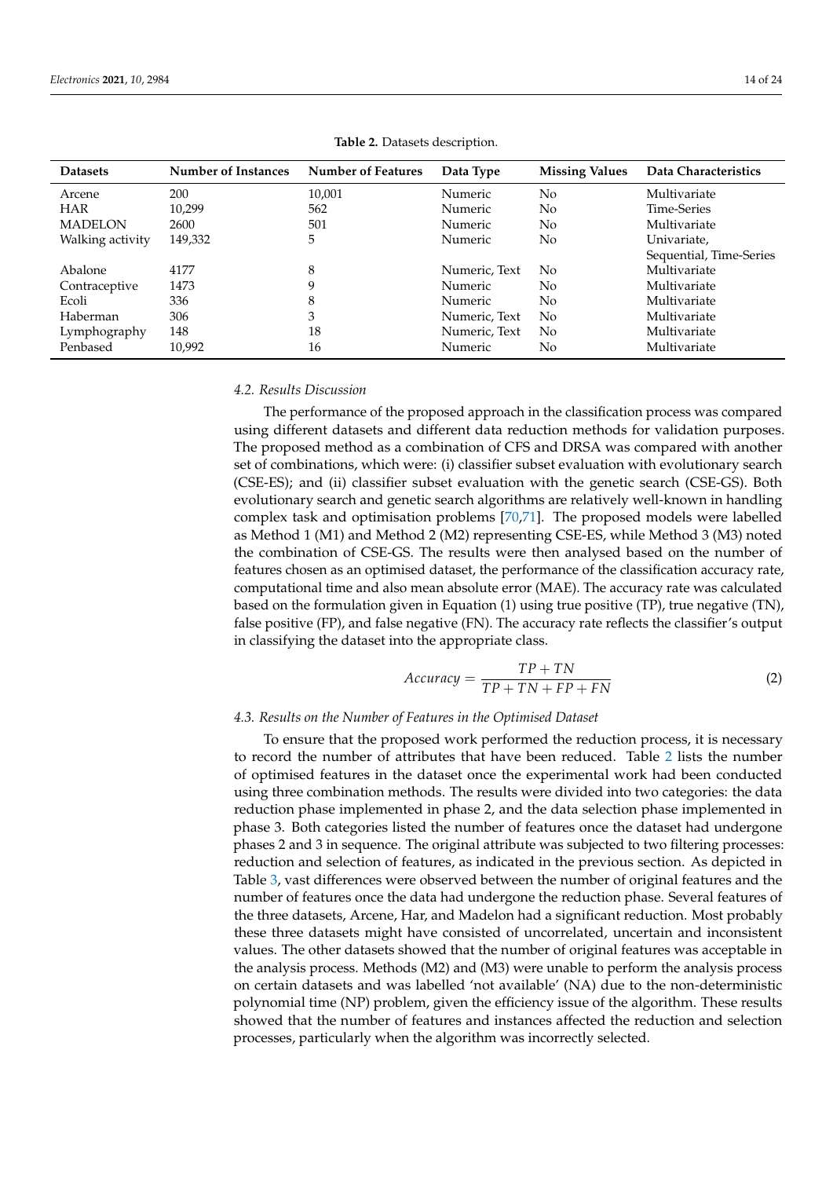<span id="page-13-0"></span>

| <b>Datasets</b>  | Number of Instances | <b>Number of Features</b> | Data Type     | <b>Missing Values</b> | Data Characteristics    |
|------------------|---------------------|---------------------------|---------------|-----------------------|-------------------------|
| Arcene           | 200                 | 10,001                    | Numeric       | N <sub>0</sub>        | Multivariate            |
| <b>HAR</b>       | 10,299              | 562                       | Numeric       | N <sub>o</sub>        | Time-Series             |
| <b>MADELON</b>   | 2600                | 501                       | Numeric       | N <sub>0</sub>        | Multivariate            |
| Walking activity | 149,332             | 5                         | Numeric       | N <sub>0</sub>        | Univariate,             |
|                  |                     |                           |               |                       | Sequential, Time-Series |
| Abalone          | 4177                | 8                         | Numeric, Text | No.                   | Multivariate            |
| Contraceptive    | 1473                | 9                         | Numeric       | N <sub>0</sub>        | Multivariate            |
| Ecoli            | 336                 | 8                         | Numeric       | N <sub>0</sub>        | Multivariate            |
| Haberman         | 306                 | 3                         | Numeric, Text | No                    | Multivariate            |
| Lymphography     | 148                 | 18                        | Numeric, Text | N <sub>o</sub>        | Multivariate            |
| Penbased         | 10.992              | 16                        | Numeric       | No                    | Multivariate            |

**Table 2.** Datasets description.

## *4.2. Results Discussion*

The performance of the proposed approach in the classification process was compared using different datasets and different data reduction methods for validation purposes. The proposed method as a combination of CFS and DRSA was compared with another set of combinations, which were: (i) classifier subset evaluation with evolutionary search (CSE-ES); and (ii) classifier subset evaluation with the genetic search (CSE-GS). Both evolutionary search and genetic search algorithms are relatively well-known in handling complex task and optimisation problems [\[70](#page-23-2)[,71\]](#page-23-3). The proposed models were labelled as Method 1 (M1) and Method 2 (M2) representing CSE-ES, while Method 3 (M3) noted the combination of CSE-GS. The results were then analysed based on the number of features chosen as an optimised dataset, the performance of the classification accuracy rate, computational time and also mean absolute error (MAE). The accuracy rate was calculated based on the formulation given in Equation (1) using true positive (TP), true negative (TN), false positive (FP), and false negative (FN). The accuracy rate reflects the classifier's output in classifying the dataset into the appropriate class.

$$
Accuracy = \frac{TP + TN}{TP + TN + FP + FN}
$$
 (2)

## *4.3. Results on the Number of Features in the Optimised Dataset*

To ensure that the proposed work performed the reduction process, it is necessary to record the number of attributes that have been reduced. Table [2](#page-13-0) lists the number of optimised features in the dataset once the experimental work had been conducted using three combination methods. The results were divided into two categories: the data reduction phase implemented in phase 2, and the data selection phase implemented in phase 3. Both categories listed the number of features once the dataset had undergone phases 2 and 3 in sequence. The original attribute was subjected to two filtering processes: reduction and selection of features, as indicated in the previous section. As depicted in Table [3,](#page-14-0) vast differences were observed between the number of original features and the number of features once the data had undergone the reduction phase. Several features of the three datasets, Arcene, Har, and Madelon had a significant reduction. Most probably these three datasets might have consisted of uncorrelated, uncertain and inconsistent values. The other datasets showed that the number of original features was acceptable in the analysis process. Methods (M2) and (M3) were unable to perform the analysis process on certain datasets and was labelled 'not available' (NA) due to the non-deterministic polynomial time (NP) problem, given the efficiency issue of the algorithm. These results showed that the number of features and instances affected the reduction and selection processes, particularly when the algorithm was incorrectly selected.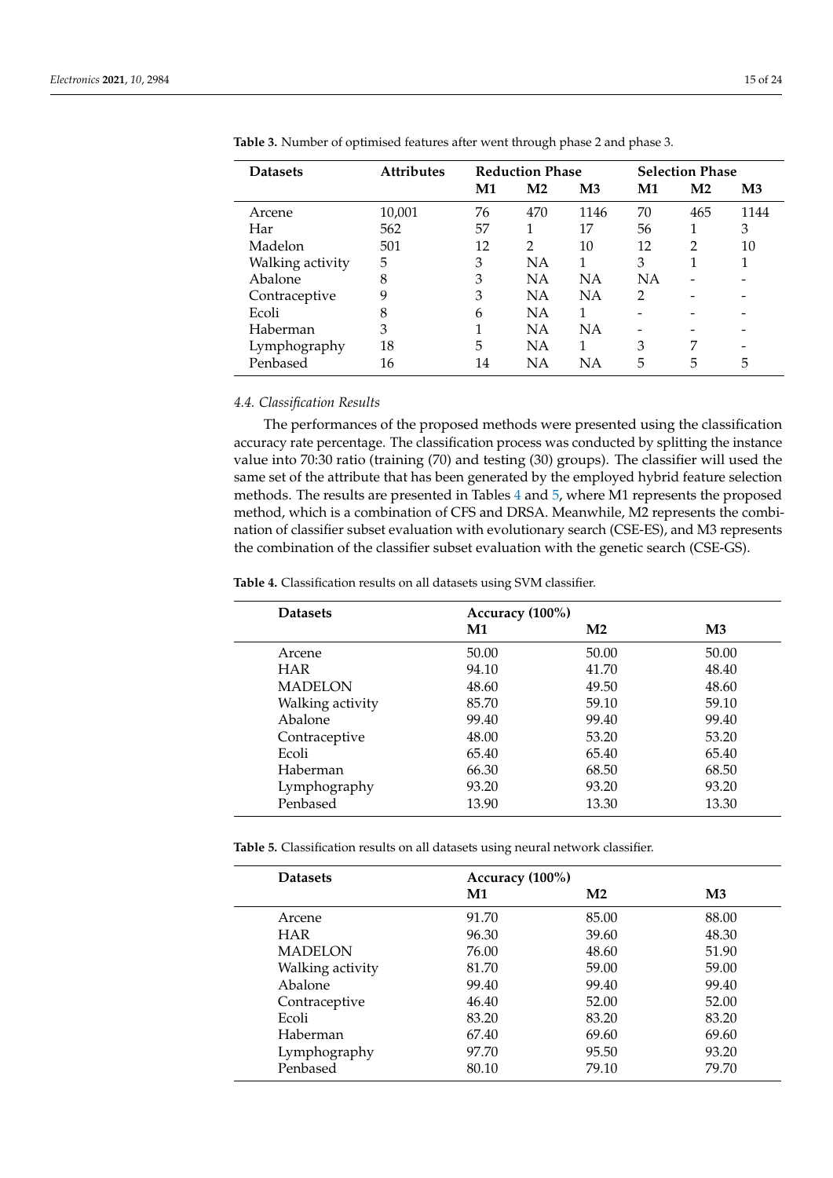| <b>Datasets</b>  | <b>Attributes</b> |                | <b>Reduction Phase</b> |               |               | <b>Selection Phase</b> |               |
|------------------|-------------------|----------------|------------------------|---------------|---------------|------------------------|---------------|
|                  |                   | $\mathbf{M}$ 1 | M <sub>2</sub>         | $\mathbf{M}3$ | M1            | M <sub>2</sub>         | $\mathbf{M}3$ |
| Arcene           | 10,001            | 76             | 470                    | 1146          | 70            | 465                    | 1144          |
| Har              | 562               | 57             |                        | 17            | 56            |                        | 3             |
| Madelon          | 501               | 12             | $\overline{2}$         | 10            | 12            | 2                      | 10            |
| Walking activity | 5                 | 3              | <b>NA</b>              |               | 3             |                        |               |
| Abalone          | 8                 | 3              | NΑ                     | <b>NA</b>     | <b>NA</b>     |                        |               |
| Contraceptive    | 9                 | 3              | <b>NA</b>              | <b>NA</b>     | $\mathcal{P}$ |                        |               |
| Ecoli            | 8                 | 6              | <b>NA</b>              |               |               |                        |               |
| Haberman         | 3                 |                | <b>NA</b>              | NA            |               |                        |               |
| Lymphography     | 18                | 5              | NA                     |               | 3             | 7                      |               |
| Penbased         | 16                | 14             | NΑ                     | NΑ            | 5             | 5                      | 5             |
|                  |                   |                |                        |               |               |                        |               |

<span id="page-14-0"></span>**Table 3.** Number of optimised features after went through phase 2 and phase 3.

## *4.4. Classification Results*

The performances of the proposed methods were presented using the classification accuracy rate percentage. The classification process was conducted by splitting the instance value into 70:30 ratio (training (70) and testing (30) groups). The classifier will used the same set of the attribute that has been generated by the employed hybrid feature selection methods. The results are presented in Tables [4](#page-14-1) and [5,](#page-14-2) where M1 represents the proposed method, which is a combination of CFS and DRSA. Meanwhile, M2 represents the combination of classifier subset evaluation with evolutionary search (CSE-ES), and M3 represents the combination of the classifier subset evaluation with the genetic search (CSE-GS).

<span id="page-14-1"></span>**Table 4.** Classification results on all datasets using SVM classifier.

| <b>Datasets</b>  | Accuracy (100%) |                |               |
|------------------|-----------------|----------------|---------------|
|                  | M1              | M <sub>2</sub> | $\mathbf{M}3$ |
| Arcene           | 50.00           | 50.00          | 50.00         |
| <b>HAR</b>       | 94.10           | 41.70          | 48.40         |
| <b>MADELON</b>   | 48.60           | 49.50          | 48.60         |
| Walking activity | 85.70           | 59.10          | 59.10         |
| Abalone          | 99.40           | 99.40          | 99.40         |
| Contraceptive    | 48.00           | 53.20          | 53.20         |
| Ecoli            | 65.40           | 65.40          | 65.40         |
| Haberman         | 66.30           | 68.50          | 68.50         |
| Lymphography     | 93.20           | 93.20          | 93.20         |
| Penbased         | 13.90           | 13.30          | 13.30         |

<span id="page-14-2"></span>**Table 5.** Classification results on all datasets using neural network classifier.

| <b>Datasets</b>  | Accuracy (100%) |                |               |
|------------------|-----------------|----------------|---------------|
|                  | $\mathbf{M}$ 1  | M <sub>2</sub> | $\mathbf{M}3$ |
| Arcene           | 91.70           | 85.00          | 88.00         |
| <b>HAR</b>       | 96.30           | 39.60          | 48.30         |
| <b>MADELON</b>   | 76.00           | 48.60          | 51.90         |
| Walking activity | 81.70           | 59.00          | 59.00         |
| Abalone          | 99.40           | 99.40          | 99.40         |
| Contraceptive    | 46.40           | 52.00          | 52.00         |
| Ecoli            | 83.20           | 83.20          | 83.20         |
| Haberman         | 67.40           | 69.60          | 69.60         |
| Lymphography     | 97.70           | 95.50          | 93.20         |
| Penbased         | 80.10           | 79.10          | 79.70         |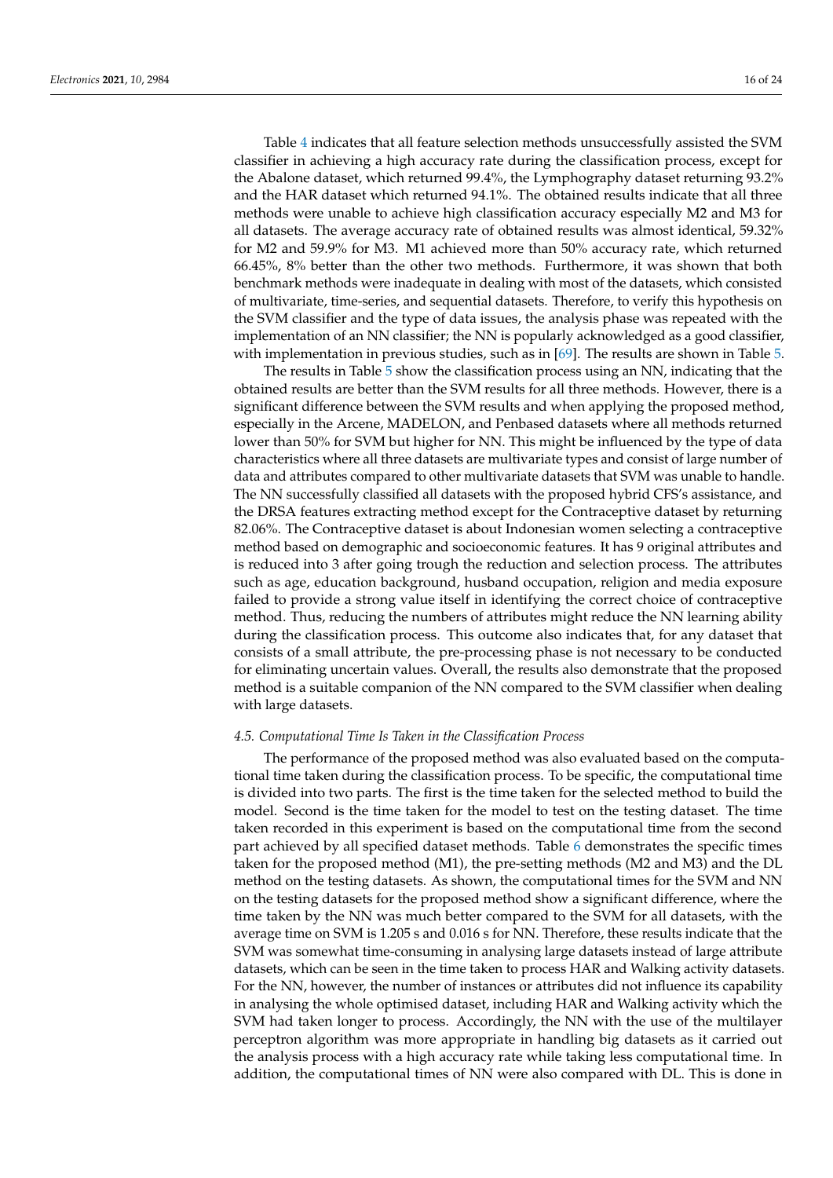Table [4](#page-14-1) indicates that all feature selection methods unsuccessfully assisted the SVM classifier in achieving a high accuracy rate during the classification process, except for the Abalone dataset, which returned 99.4%, the Lymphography dataset returning 93.2% and the HAR dataset which returned 94.1%. The obtained results indicate that all three methods were unable to achieve high classification accuracy especially M2 and M3 for all datasets. The average accuracy rate of obtained results was almost identical, 59.32% for M2 and 59.9% for M3. M1 achieved more than 50% accuracy rate, which returned 66.45%, 8% better than the other two methods. Furthermore, it was shown that both benchmark methods were inadequate in dealing with most of the datasets, which consisted of multivariate, time-series, and sequential datasets. Therefore, to verify this hypothesis on the SVM classifier and the type of data issues, the analysis phase was repeated with the implementation of an NN classifier; the NN is popularly acknowledged as a good classifier, with implementation in previous studies, such as in [\[69\]](#page-23-1). The results are shown in Table [5.](#page-14-2)

The results in Table [5](#page-14-2) show the classification process using an NN, indicating that the obtained results are better than the SVM results for all three methods. However, there is a significant difference between the SVM results and when applying the proposed method, especially in the Arcene, MADELON, and Penbased datasets where all methods returned lower than 50% for SVM but higher for NN. This might be influenced by the type of data characteristics where all three datasets are multivariate types and consist of large number of data and attributes compared to other multivariate datasets that SVM was unable to handle. The NN successfully classified all datasets with the proposed hybrid CFS's assistance, and the DRSA features extracting method except for the Contraceptive dataset by returning 82.06%. The Contraceptive dataset is about Indonesian women selecting a contraceptive method based on demographic and socioeconomic features. It has 9 original attributes and is reduced into 3 after going trough the reduction and selection process. The attributes such as age, education background, husband occupation, religion and media exposure failed to provide a strong value itself in identifying the correct choice of contraceptive method. Thus, reducing the numbers of attributes might reduce the NN learning ability during the classification process. This outcome also indicates that, for any dataset that consists of a small attribute, the pre-processing phase is not necessary to be conducted for eliminating uncertain values. Overall, the results also demonstrate that the proposed method is a suitable companion of the NN compared to the SVM classifier when dealing with large datasets.

#### *4.5. Computational Time Is Taken in the Classification Process*

The performance of the proposed method was also evaluated based on the computational time taken during the classification process. To be specific, the computational time is divided into two parts. The first is the time taken for the selected method to build the model. Second is the time taken for the model to test on the testing dataset. The time taken recorded in this experiment is based on the computational time from the second part achieved by all specified dataset methods. Table [6](#page-16-0) demonstrates the specific times taken for the proposed method (M1), the pre-setting methods (M2 and M3) and the DL method on the testing datasets. As shown, the computational times for the SVM and NN on the testing datasets for the proposed method show a significant difference, where the time taken by the NN was much better compared to the SVM for all datasets, with the average time on SVM is 1.205 s and 0.016 s for NN. Therefore, these results indicate that the SVM was somewhat time-consuming in analysing large datasets instead of large attribute datasets, which can be seen in the time taken to process HAR and Walking activity datasets. For the NN, however, the number of instances or attributes did not influence its capability in analysing the whole optimised dataset, including HAR and Walking activity which the SVM had taken longer to process. Accordingly, the NN with the use of the multilayer perceptron algorithm was more appropriate in handling big datasets as it carried out the analysis process with a high accuracy rate while taking less computational time. In addition, the computational times of NN were also compared with DL. This is done in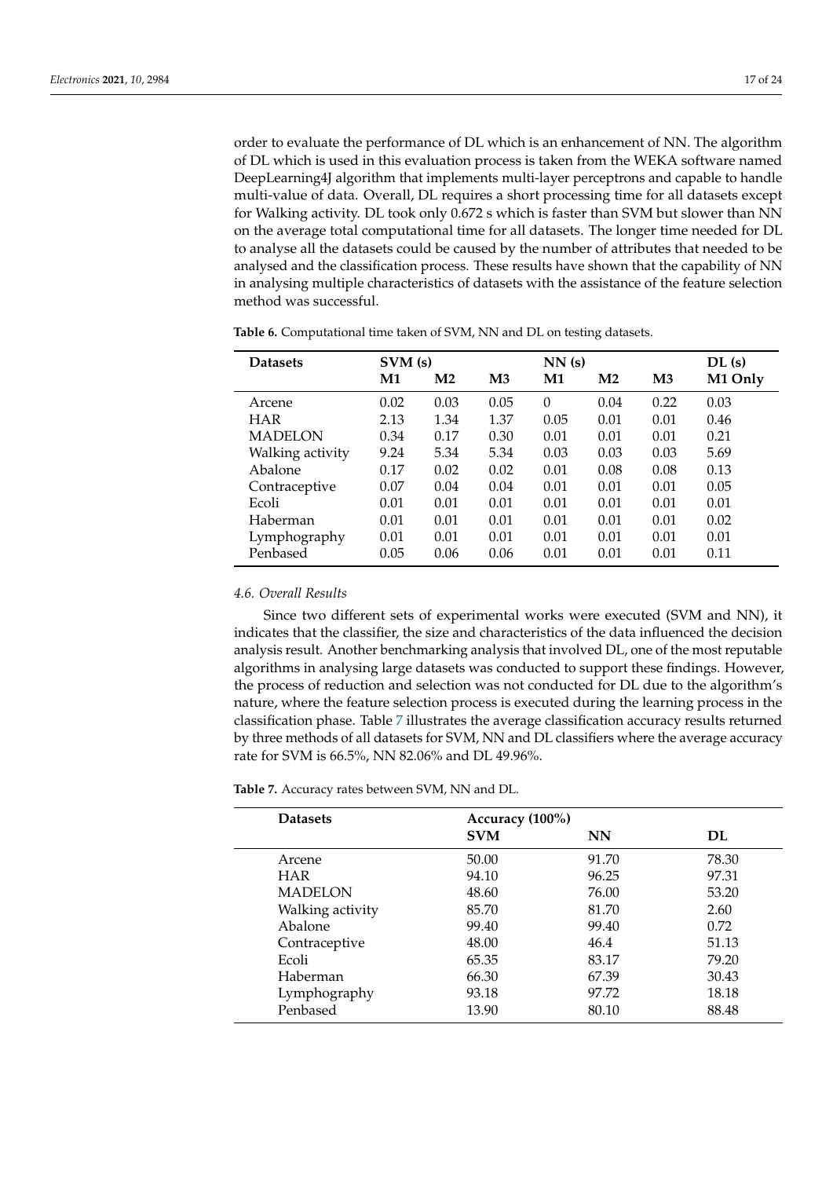order to evaluate the performance of DL which is an enhancement of NN. The algorithm of DL which is used in this evaluation process is taken from the WEKA software named DeepLearning4J algorithm that implements multi-layer perceptrons and capable to handle multi-value of data. Overall, DL requires a short processing time for all datasets except for Walking activity. DL took only 0.672 s which is faster than SVM but slower than NN on the average total computational time for all datasets. The longer time needed for DL to analyse all the datasets could be caused by the number of attributes that needed to be analysed and the classification process. These results have shown that the capability of NN in analysing multiple characteristics of datasets with the assistance of the feature selection method was successful.

| <b>Datasets</b>  |      | SVM(s)        |               |          | NN(s)          | DL(s)         |         |
|------------------|------|---------------|---------------|----------|----------------|---------------|---------|
|                  | M1   | $\mathbf{M}2$ | $\mathbf{M}3$ | M1       | M <sub>2</sub> | $\mathbf{M}3$ | M1 Only |
| Arcene           | 0.02 | 0.03          | 0.05          | $\theta$ | 0.04           | 0.22          | 0.03    |
| <b>HAR</b>       | 2.13 | 1.34          | 1.37          | 0.05     | 0.01           | 0.01          | 0.46    |
| <b>MADELON</b>   | 0.34 | 0.17          | 0.30          | 0.01     | 0.01           | 0.01          | 0.21    |
| Walking activity | 9.24 | 5.34          | 5.34          | 0.03     | 0.03           | 0.03          | 5.69    |
| Abalone          | 0.17 | 0.02          | 0.02          | 0.01     | 0.08           | 0.08          | 0.13    |
| Contraceptive    | 0.07 | 0.04          | 0.04          | 0.01     | 0.01           | 0.01          | 0.05    |
| Ecoli            | 0.01 | 0.01          | 0.01          | 0.01     | 0.01           | 0.01          | 0.01    |
| Haberman         | 0.01 | 0.01          | 0.01          | 0.01     | 0.01           | 0.01          | 0.02    |
| Lymphography     | 0.01 | 0.01          | 0.01          | 0.01     | 0.01           | 0.01          | 0.01    |
| Penbased         | 0.05 | 0.06          | 0.06          | 0.01     | 0.01           | 0.01          | 0.11    |

<span id="page-16-0"></span>**Table 6.** Computational time taken of SVM, NN and DL on testing datasets.

## *4.6. Overall Results*

Since two different sets of experimental works were executed (SVM and NN), it indicates that the classifier, the size and characteristics of the data influenced the decision analysis result. Another benchmarking analysis that involved DL, one of the most reputable algorithms in analysing large datasets was conducted to support these findings. However, the process of reduction and selection was not conducted for DL due to the algorithm's nature, where the feature selection process is executed during the learning process in the classification phase. Table [7](#page-16-1) illustrates the average classification accuracy results returned by three methods of all datasets for SVM, NN and DL classifiers where the average accuracy rate for SVM is 66.5%, NN 82.06% and DL 49.96%.

<span id="page-16-1"></span>**Table 7.** Accuracy rates between SVM, NN and DL.

| <b>Datasets</b>  | Accuracy (100%) |           |       |
|------------------|-----------------|-----------|-------|
|                  | <b>SVM</b>      | <b>NN</b> | DL    |
| Arcene           | 50.00           | 91.70     | 78.30 |
| <b>HAR</b>       | 94.10           | 96.25     | 97.31 |
| <b>MADELON</b>   | 48.60           | 76.00     | 53.20 |
| Walking activity | 85.70           | 81.70     | 2.60  |
| Abalone          | 99.40           | 99.40     | 0.72  |
| Contraceptive    | 48.00           | 46.4      | 51.13 |
| Ecoli            | 65.35           | 83.17     | 79.20 |
| Haberman         | 66.30           | 67.39     | 30.43 |
| Lymphography     | 93.18           | 97.72     | 18.18 |
| Penbased         | 13.90           | 80.10     | 88.48 |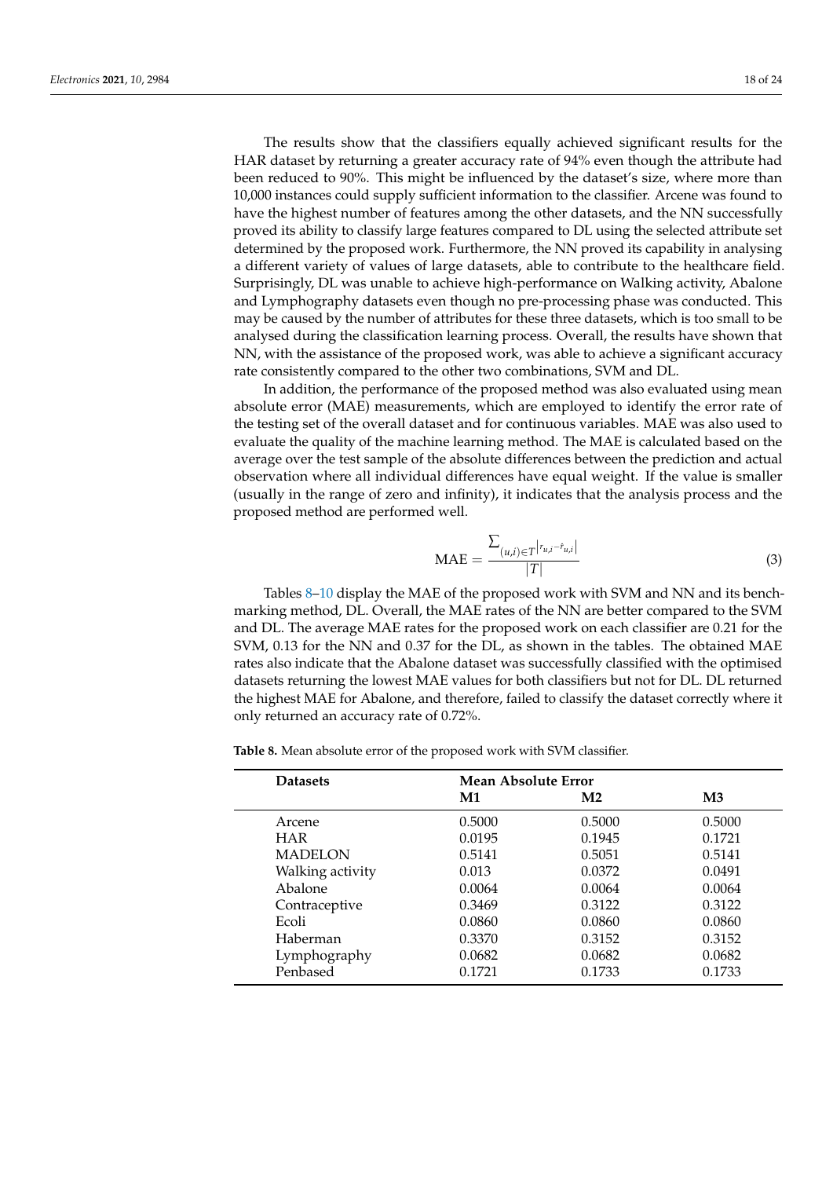The results show that the classifiers equally achieved significant results for the HAR dataset by returning a greater accuracy rate of 94% even though the attribute had been reduced to 90%. This might be influenced by the dataset's size, where more than 10,000 instances could supply sufficient information to the classifier. Arcene was found to have the highest number of features among the other datasets, and the NN successfully proved its ability to classify large features compared to DL using the selected attribute set determined by the proposed work. Furthermore, the NN proved its capability in analysing a different variety of values of large datasets, able to contribute to the healthcare field. Surprisingly, DL was unable to achieve high-performance on Walking activity, Abalone and Lymphography datasets even though no pre-processing phase was conducted. This may be caused by the number of attributes for these three datasets, which is too small to be analysed during the classification learning process. Overall, the results have shown that NN, with the assistance of the proposed work, was able to achieve a significant accuracy rate consistently compared to the other two combinations, SVM and DL.

In addition, the performance of the proposed method was also evaluated using mean absolute error (MAE) measurements, which are employed to identify the error rate of the testing set of the overall dataset and for continuous variables. MAE was also used to evaluate the quality of the machine learning method. The MAE is calculated based on the average over the test sample of the absolute differences between the prediction and actual observation where all individual differences have equal weight. If the value is smaller (usually in the range of zero and infinity), it indicates that the analysis process and the proposed method are performed well.

$$
\text{MAE} = \frac{\sum_{(u,i) \in T} |r_{u,i} - r_{u,i}|}{|T|}
$$
(3)

Tables [8](#page-17-0)-10 display the MAE of the proposed work with SVM and NN and its benchmarking method, DL. Overall, the MAE rates of the NN are better compared to the SVM and DL. The average MAE rates for the proposed work on each classifier are 0.21 for the SVM, 0.13 for the NN and 0.37 for the DL, as shown in the tables. The obtained MAE rates also indicate that the Abalone dataset was successfully classified with the optimised datasets returning the lowest MAE values for both classifiers but not for DL. DL returned the highest MAE for Abalone, and therefore, failed to classify the dataset correctly where it only returned an accuracy rate of 0.72%.

<span id="page-17-0"></span>**Table 8.** Mean absolute error of the proposed work with SVM classifier.

| <b>Datasets</b>  | Mean Absolute Error |                |               |  |  |  |
|------------------|---------------------|----------------|---------------|--|--|--|
|                  | M1                  | M <sub>2</sub> | $\mathbf{M}3$ |  |  |  |
| Arcene           | 0.5000              | 0.5000         | 0.5000        |  |  |  |
| <b>HAR</b>       | 0.0195              | 0.1945         | 0.1721        |  |  |  |
| <b>MADELON</b>   | 0.5141              | 0.5051         | 0.5141        |  |  |  |
| Walking activity | 0.013               | 0.0372         | 0.0491        |  |  |  |
| Abalone          | 0.0064              | 0.0064         | 0.0064        |  |  |  |
| Contraceptive    | 0.3469              | 0.3122         | 0.3122        |  |  |  |
| Ecoli            | 0.0860              | 0.0860         | 0.0860        |  |  |  |
| Haberman         | 0.3370              | 0.3152         | 0.3152        |  |  |  |
| Lymphography     | 0.0682              | 0.0682         | 0.0682        |  |  |  |
| Penbased         | 0.1721              | 0.1733         | 0.1733        |  |  |  |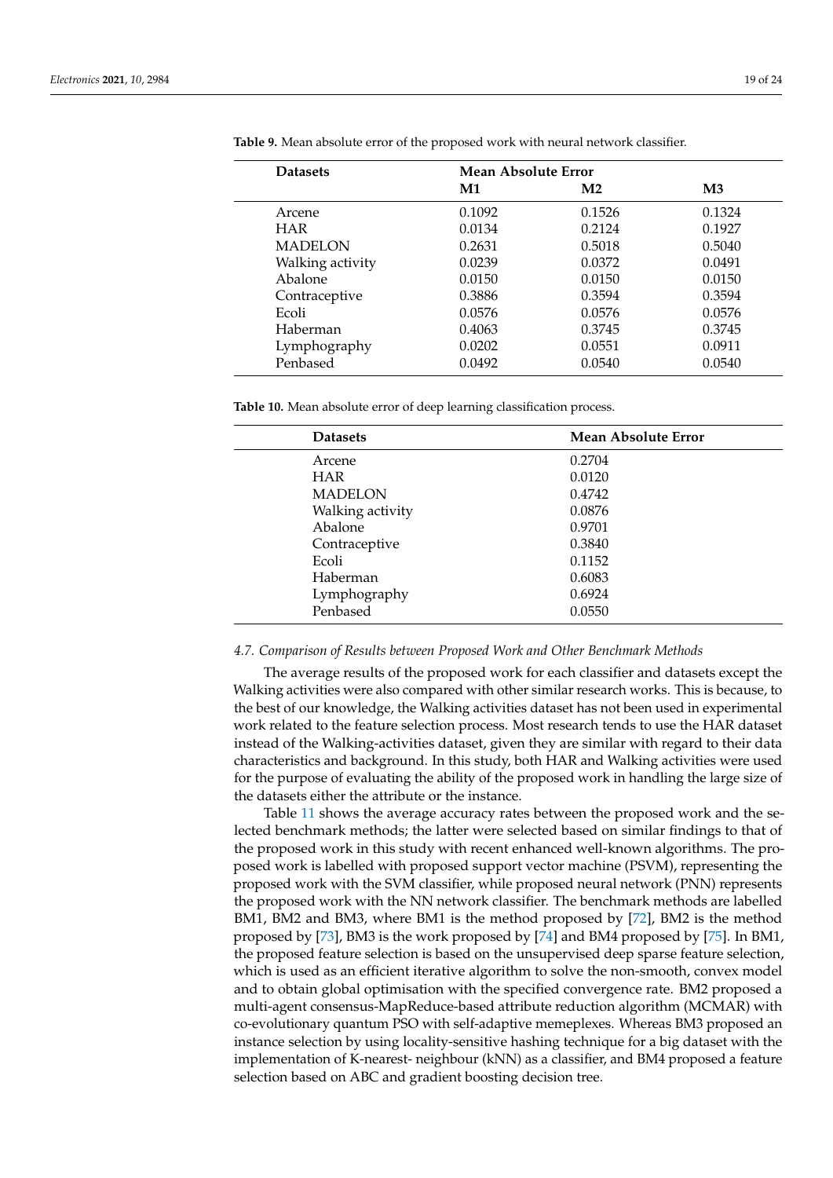| <b>Datasets</b>  | Mean Absolute Error |                |               |  |  |  |
|------------------|---------------------|----------------|---------------|--|--|--|
|                  | $\mathbf{M1}$       | M <sub>2</sub> | $\mathbf{M}3$ |  |  |  |
| Arcene           | 0.1092              | 0.1526         | 0.1324        |  |  |  |
| <b>HAR</b>       | 0.0134              | 0.2124         | 0.1927        |  |  |  |
| <b>MADELON</b>   | 0.2631              | 0.5018         | 0.5040        |  |  |  |
| Walking activity | 0.0239              | 0.0372         | 0.0491        |  |  |  |
| Abalone          | 0.0150              | 0.0150         | 0.0150        |  |  |  |
| Contraceptive    | 0.3886              | 0.3594         | 0.3594        |  |  |  |
| Ecoli            | 0.0576              | 0.0576         | 0.0576        |  |  |  |
| Haberman         | 0.4063              | 0.3745         | 0.3745        |  |  |  |
| Lymphography     | 0.0202              | 0.0551         | 0.0911        |  |  |  |
| Penbased         | 0.0492              | 0.0540         | 0.0540        |  |  |  |

**Table 9.** Mean absolute error of the proposed work with neural network classifier.

<span id="page-18-0"></span>**Table 10.** Mean absolute error of deep learning classification process.

| Mean Absolute Error |
|---------------------|
| 0.2704              |
| 0.0120              |
| 0.4742              |
| 0.0876              |
| 0.9701              |
| 0.3840              |
| 0.1152              |
| 0.6083              |
| 0.6924              |
| 0.0550              |
|                     |

#### *4.7. Comparison of Results between Proposed Work and Other Benchmark Methods*

The average results of the proposed work for each classifier and datasets except the Walking activities were also compared with other similar research works. This is because, to the best of our knowledge, the Walking activities dataset has not been used in experimental work related to the feature selection process. Most research tends to use the HAR dataset instead of the Walking-activities dataset, given they are similar with regard to their data characteristics and background. In this study, both HAR and Walking activities were used for the purpose of evaluating the ability of the proposed work in handling the large size of the datasets either the attribute or the instance.

Table [11](#page-19-1) shows the average accuracy rates between the proposed work and the selected benchmark methods; the latter were selected based on similar findings to that of the proposed work in this study with recent enhanced well-known algorithms. The proposed work is labelled with proposed support vector machine (PSVM), representing the proposed work with the SVM classifier, while proposed neural network (PNN) represents the proposed work with the NN network classifier. The benchmark methods are labelled BM1, BM2 and BM3, where BM1 is the method proposed by [\[72\]](#page-23-4), BM2 is the method proposed by [\[73\]](#page-23-5), BM3 is the work proposed by [\[74\]](#page-23-6) and BM4 proposed by [\[75\]](#page-23-7). In BM1, the proposed feature selection is based on the unsupervised deep sparse feature selection, which is used as an efficient iterative algorithm to solve the non-smooth, convex model and to obtain global optimisation with the specified convergence rate. BM2 proposed a multi-agent consensus-MapReduce-based attribute reduction algorithm (MCMAR) with co-evolutionary quantum PSO with self-adaptive memeplexes. Whereas BM3 proposed an instance selection by using locality-sensitive hashing technique for a big dataset with the implementation of K-nearest- neighbour (kNN) as a classifier, and BM4 proposed a feature selection based on ABC and gradient boosting decision tree.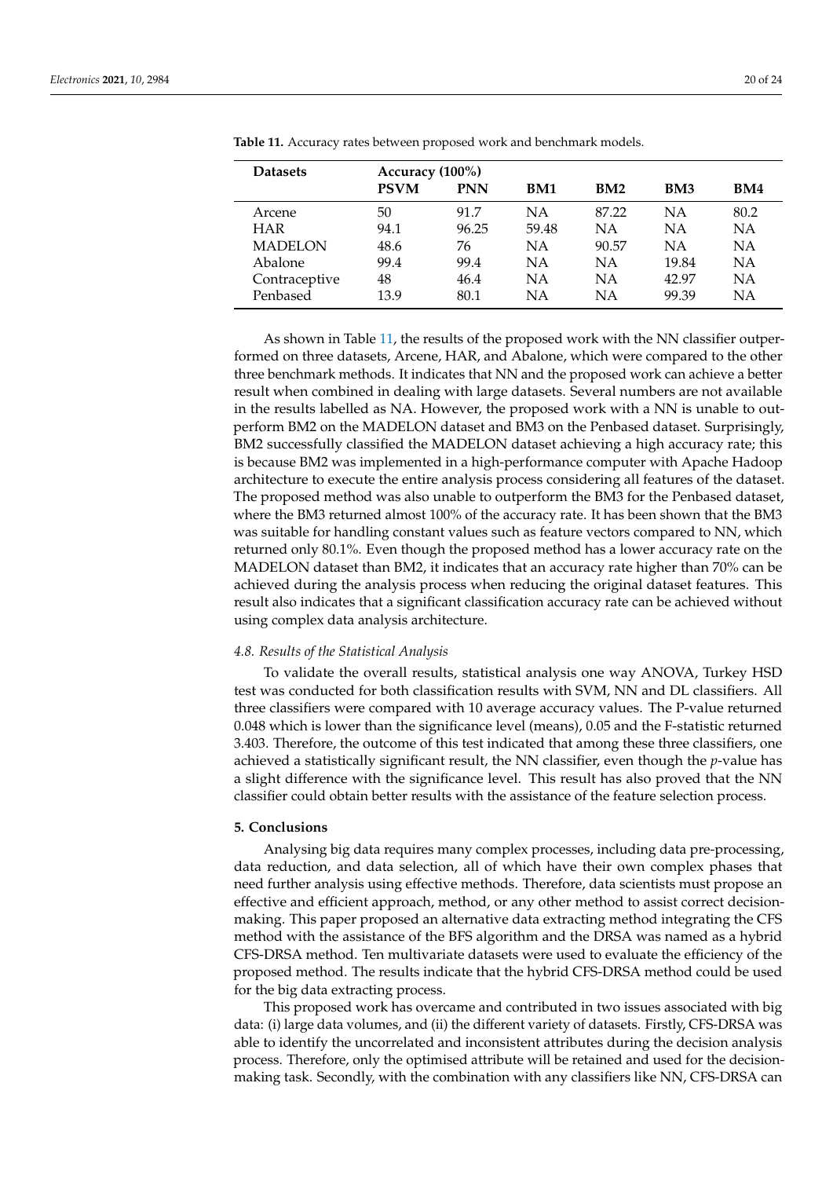| <b>Datasets</b> | Accuracy (100%) |            |           |       |                 |      |  |  |
|-----------------|-----------------|------------|-----------|-------|-----------------|------|--|--|
|                 | <b>PSVM</b>     | <b>PNN</b> | BM1       | BM2   | BM <sub>3</sub> | BM4  |  |  |
| Arcene          | 50              | 91.7       | <b>NA</b> | 87.22 | NΑ              | 80.2 |  |  |
| <b>HAR</b>      | 94.1            | 96.25      | 59.48     | ΝA    | NA              | NA   |  |  |
| <b>MADELON</b>  | 48.6            | 76         | <b>NA</b> | 90.57 | NΑ              | NA   |  |  |
| Abalone         | 99.4            | 99.4       | NA        | NΑ    | 19.84           | NA   |  |  |
| Contraceptive   | 48              | 46.4       | <b>NA</b> | NΑ    | 42.97           | NA   |  |  |
| Penbased        | 13.9            | 80.1       | ΝA        | NΑ    | 99.39           | NΑ   |  |  |

<span id="page-19-1"></span>**Table 11.** Accuracy rates between proposed work and benchmark models.

As shown in Table [11,](#page-19-1) the results of the proposed work with the NN classifier outperformed on three datasets, Arcene, HAR, and Abalone, which were compared to the other three benchmark methods. It indicates that NN and the proposed work can achieve a better result when combined in dealing with large datasets. Several numbers are not available in the results labelled as NA. However, the proposed work with a NN is unable to outperform BM2 on the MADELON dataset and BM3 on the Penbased dataset. Surprisingly, BM2 successfully classified the MADELON dataset achieving a high accuracy rate; this is because BM2 was implemented in a high-performance computer with Apache Hadoop architecture to execute the entire analysis process considering all features of the dataset. The proposed method was also unable to outperform the BM3 for the Penbased dataset, where the BM3 returned almost 100% of the accuracy rate. It has been shown that the BM3 was suitable for handling constant values such as feature vectors compared to NN, which returned only 80.1%. Even though the proposed method has a lower accuracy rate on the MADELON dataset than BM2, it indicates that an accuracy rate higher than 70% can be achieved during the analysis process when reducing the original dataset features. This result also indicates that a significant classification accuracy rate can be achieved without using complex data analysis architecture.

#### *4.8. Results of the Statistical Analysis*

To validate the overall results, statistical analysis one way ANOVA, Turkey HSD test was conducted for both classification results with SVM, NN and DL classifiers. All three classifiers were compared with 10 average accuracy values. The P-value returned 0.048 which is lower than the significance level (means), 0.05 and the F-statistic returned 3.403. Therefore, the outcome of this test indicated that among these three classifiers, one achieved a statistically significant result, the NN classifier, even though the *p*-value has a slight difference with the significance level. This result has also proved that the NN classifier could obtain better results with the assistance of the feature selection process.

#### <span id="page-19-0"></span>**5. Conclusions**

Analysing big data requires many complex processes, including data pre-processing, data reduction, and data selection, all of which have their own complex phases that need further analysis using effective methods. Therefore, data scientists must propose an effective and efficient approach, method, or any other method to assist correct decisionmaking. This paper proposed an alternative data extracting method integrating the CFS method with the assistance of the BFS algorithm and the DRSA was named as a hybrid CFS-DRSA method. Ten multivariate datasets were used to evaluate the efficiency of the proposed method. The results indicate that the hybrid CFS-DRSA method could be used for the big data extracting process.

This proposed work has overcame and contributed in two issues associated with big data: (i) large data volumes, and (ii) the different variety of datasets. Firstly, CFS-DRSA was able to identify the uncorrelated and inconsistent attributes during the decision analysis process. Therefore, only the optimised attribute will be retained and used for the decisionmaking task. Secondly, with the combination with any classifiers like NN, CFS-DRSA can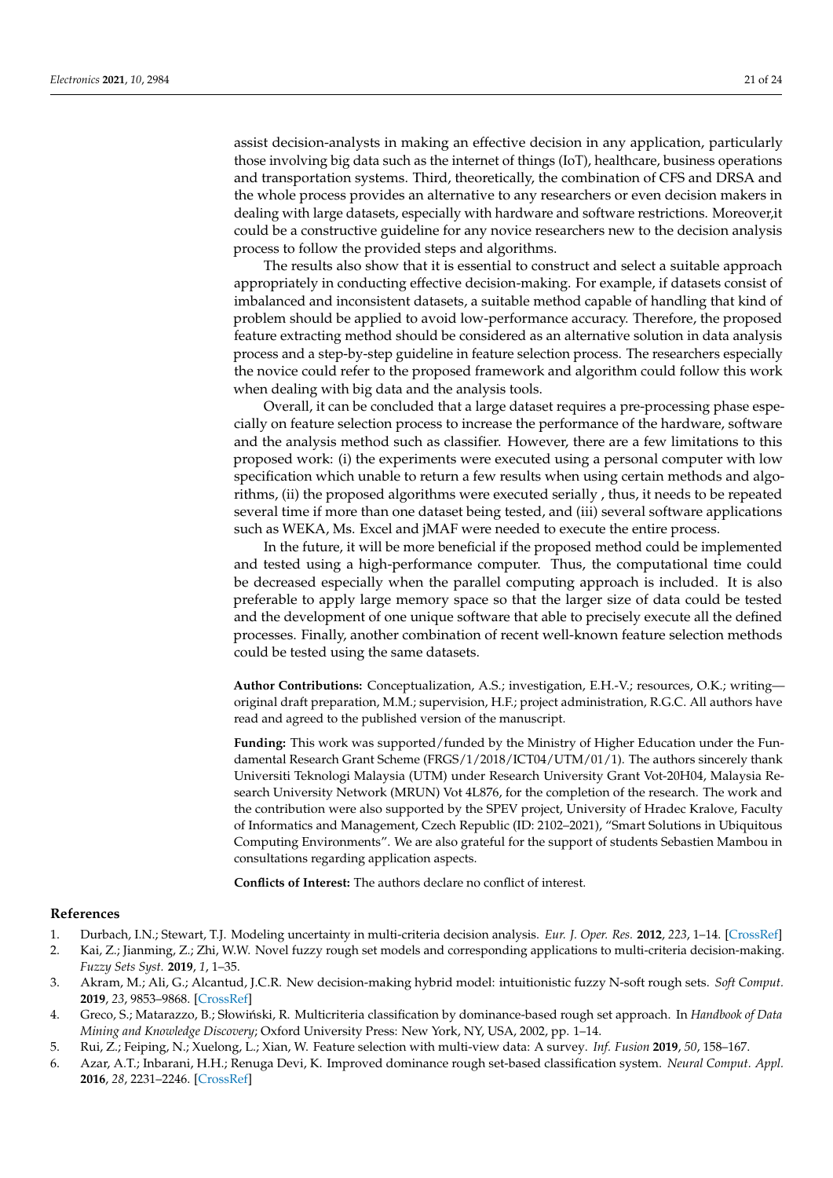assist decision-analysts in making an effective decision in any application, particularly those involving big data such as the internet of things (IoT), healthcare, business operations and transportation systems. Third, theoretically, the combination of CFS and DRSA and the whole process provides an alternative to any researchers or even decision makers in dealing with large datasets, especially with hardware and software restrictions. Moreover,it could be a constructive guideline for any novice researchers new to the decision analysis process to follow the provided steps and algorithms.

The results also show that it is essential to construct and select a suitable approach appropriately in conducting effective decision-making. For example, if datasets consist of imbalanced and inconsistent datasets, a suitable method capable of handling that kind of problem should be applied to avoid low-performance accuracy. Therefore, the proposed feature extracting method should be considered as an alternative solution in data analysis process and a step-by-step guideline in feature selection process. The researchers especially the novice could refer to the proposed framework and algorithm could follow this work when dealing with big data and the analysis tools.

Overall, it can be concluded that a large dataset requires a pre-processing phase especially on feature selection process to increase the performance of the hardware, software and the analysis method such as classifier. However, there are a few limitations to this proposed work: (i) the experiments were executed using a personal computer with low specification which unable to return a few results when using certain methods and algorithms, (ii) the proposed algorithms were executed serially , thus, it needs to be repeated several time if more than one dataset being tested, and (iii) several software applications such as WEKA, Ms. Excel and jMAF were needed to execute the entire process.

In the future, it will be more beneficial if the proposed method could be implemented and tested using a high-performance computer. Thus, the computational time could be decreased especially when the parallel computing approach is included. It is also preferable to apply large memory space so that the larger size of data could be tested and the development of one unique software that able to precisely execute all the defined processes. Finally, another combination of recent well-known feature selection methods could be tested using the same datasets.

**Author Contributions:** Conceptualization, A.S.; investigation, E.H.-V.; resources, O.K.; writing original draft preparation, M.M.; supervision, H.F.; project administration, R.G.C. All authors have read and agreed to the published version of the manuscript.

**Funding:** This work was supported/funded by the Ministry of Higher Education under the Fundamental Research Grant Scheme (FRGS/1/2018/ICT04/UTM/01/1). The authors sincerely thank Universiti Teknologi Malaysia (UTM) under Research University Grant Vot-20H04, Malaysia Research University Network (MRUN) Vot 4L876, for the completion of the research. The work and the contribution were also supported by the SPEV project, University of Hradec Kralove, Faculty of Informatics and Management, Czech Republic (ID: 2102–2021), "Smart Solutions in Ubiquitous Computing Environments". We are also grateful for the support of students Sebastien Mambou in consultations regarding application aspects.

**Conflicts of Interest:** The authors declare no conflict of interest.

## **References**

- <span id="page-20-0"></span>1. Durbach, I.N.; Stewart, T.J. Modeling uncertainty in multi-criteria decision analysis. *Eur. J. Oper. Res.* **2012**, *223*, 1–14. [\[CrossRef\]](http://doi.org/10.1016/j.ejor.2012.04.038)
- <span id="page-20-1"></span>2. Kai, Z.; Jianming, Z.; Zhi, W.W. Novel fuzzy rough set models and corresponding applications to multi-criteria decision-making. *Fuzzy Sets Syst.* **2019**, *1*, 1–35.
- <span id="page-20-2"></span>3. Akram, M.; Ali, G.; Alcantud, J.C.R. New decision-making hybrid model: intuitionistic fuzzy N-soft rough sets. *Soft Comput.* **2019**, *23*, 9853–9868. [\[CrossRef\]](http://dx.doi.org/10.1007/s00500-019-03903-w)
- <span id="page-20-3"></span>4. Greco, S.; Matarazzo, B.; Słowiński, R. Multicriteria classification by dominance-based rough set approach. In *Handbook of Data Mining and Knowledge Discovery*; Oxford University Press: New York, NY, USA, 2002, pp. 1–14.
- <span id="page-20-4"></span>5. Rui, Z.; Feiping, N.; Xuelong, L.; Xian, W. Feature selection with multi-view data: A survey. *Inf. Fusion* **2019**, *50*, 158–167.
- <span id="page-20-5"></span>6. Azar, A.T.; Inbarani, H.H.; Renuga Devi, K. Improved dominance rough set-based classification system. *Neural Comput. Appl.* **2016**, *28*, 2231–2246. [\[CrossRef\]](http://dx.doi.org/10.1007/s00521-016-2177-z)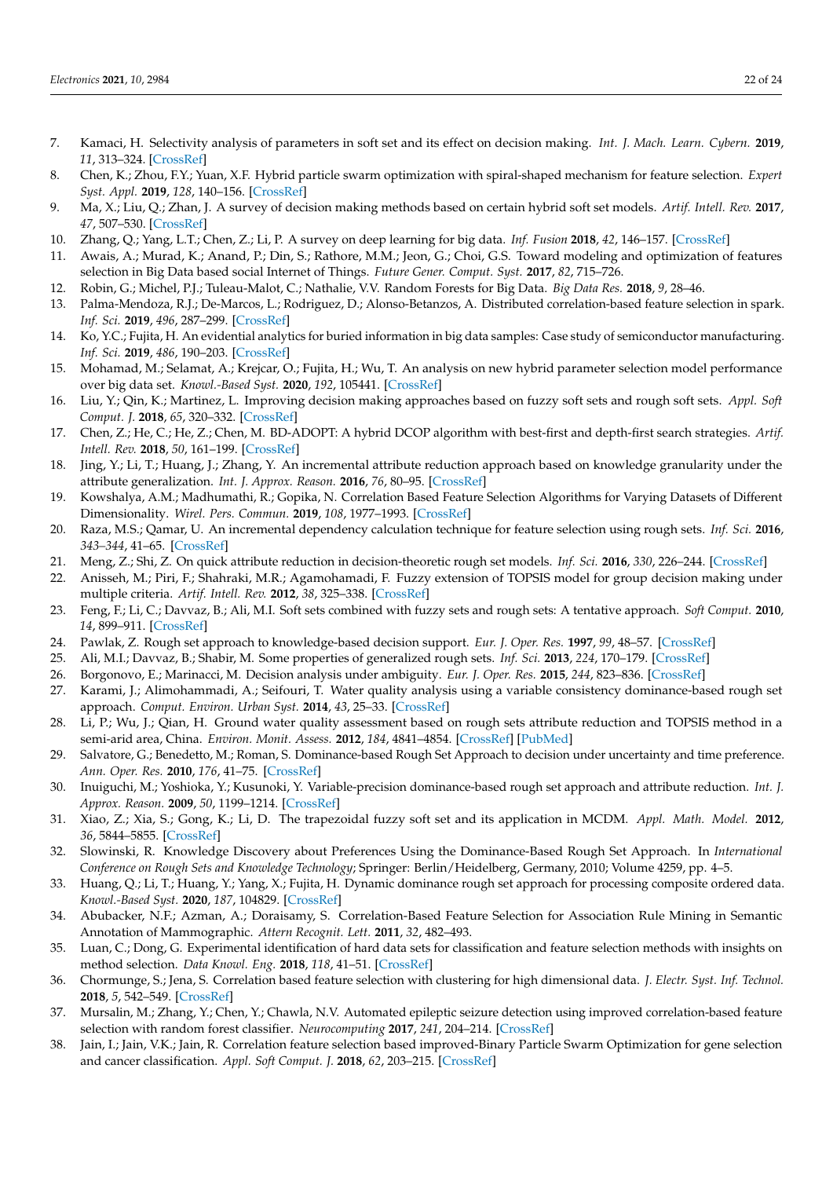- <span id="page-21-0"></span>7. Kamaci, H. Selectivity analysis of parameters in soft set and its effect on decision making. *Int. J. Mach. Learn. Cybern.* **2019**, *11*, 313–324. [\[CrossRef\]](http://dx.doi.org/10.1007/s13042-019-00975-w)
- <span id="page-21-1"></span>8. Chen, K.; Zhou, F.Y.; Yuan, X.F. Hybrid particle swarm optimization with spiral-shaped mechanism for feature selection. *Expert Syst. Appl.* **2019**, *128*, 140–156. [\[CrossRef\]](http://dx.doi.org/10.1016/j.eswa.2019.03.039)
- <span id="page-21-2"></span>9. Ma, X.; Liu, Q.; Zhan, J. A survey of decision making methods based on certain hybrid soft set models. *Artif. Intell. Rev.* **2017**, *47*, 507–530. [\[CrossRef\]](http://dx.doi.org/10.1007/s10462-016-9490-x)
- <span id="page-21-3"></span>10. Zhang, Q.; Yang, L.T.; Chen, Z.; Li, P. A survey on deep learning for big data. *Inf. Fusion* **2018**, *42*, 146–157. [\[CrossRef\]](http://dx.doi.org/10.1016/j.inffus.2017.10.006)
- <span id="page-21-4"></span>11. Awais, A.; Murad, K.; Anand, P.; Din, S.; Rathore, M.M.; Jeon, G.; Choi, G.S. Toward modeling and optimization of features selection in Big Data based social Internet of Things. *Future Gener. Comput. Syst.* **2017**, *82*, 715–726.
- <span id="page-21-5"></span>12. Robin, G.; Michel, P.J.; Tuleau-Malot, C.; Nathalie, V.V. Random Forests for Big Data. *Big Data Res.* **2018**, *9*, 28–46.
- <span id="page-21-6"></span>13. Palma-Mendoza, R.J.; De-Marcos, L.; Rodriguez, D.; Alonso-Betanzos, A. Distributed correlation-based feature selection in spark. *Inf. Sci.* **2019**, *496*, 287–299. [\[CrossRef\]](http://dx.doi.org/10.1016/j.ins.2018.10.052)
- <span id="page-21-7"></span>14. Ko, Y.C.; Fujita, H. An evidential analytics for buried information in big data samples: Case study of semiconductor manufacturing. *Inf. Sci.* **2019**, *486*, 190–203. [\[CrossRef\]](http://dx.doi.org/10.1016/j.ins.2019.01.079)
- <span id="page-21-8"></span>15. Mohamad, M.; Selamat, A.; Krejcar, O.; Fujita, H.; Wu, T. An analysis on new hybrid parameter selection model performance over big data set. *Knowl.-Based Syst.* **2020**, *192*, 105441. [\[CrossRef\]](http://dx.doi.org/10.1016/j.knosys.2019.105441)
- <span id="page-21-9"></span>16. Liu, Y.; Qin, K.; Martinez, L. Improving decision making approaches based on fuzzy soft sets and rough soft sets. *Appl. Soft Comput. J.* **2018**, *65*, 320–332. [\[CrossRef\]](http://dx.doi.org/10.1016/j.asoc.2018.01.012)
- <span id="page-21-10"></span>17. Chen, Z.; He, C.; He, Z.; Chen, M. BD-ADOPT: A hybrid DCOP algorithm with best-first and depth-first search strategies. *Artif. Intell. Rev.* **2018**, *50*, 161–199. [\[CrossRef\]](http://dx.doi.org/10.1007/s10462-017-9540-z)
- <span id="page-21-11"></span>18. Jing, Y.; Li, T.; Huang, J.; Zhang, Y. An incremental attribute reduction approach based on knowledge granularity under the attribute generalization. *Int. J. Approx. Reason.* **2016**, *76*, 80–95. [\[CrossRef\]](http://dx.doi.org/10.1016/j.ijar.2016.05.001)
- <span id="page-21-12"></span>19. Kowshalya, A.M.; Madhumathi, R.; Gopika, N. Correlation Based Feature Selection Algorithms for Varying Datasets of Different Dimensionality. *Wirel. Pers. Commun.* **2019**, *108*, 1977–1993. [\[CrossRef\]](http://dx.doi.org/10.1007/s11277-019-06504-w)
- <span id="page-21-13"></span>20. Raza, M.S.; Qamar, U. An incremental dependency calculation technique for feature selection using rough sets. *Inf. Sci.* **2016**, *343–344*, 41–65. [\[CrossRef\]](http://dx.doi.org/10.1016/j.ins.2016.01.044)
- <span id="page-21-14"></span>21. Meng, Z.; Shi, Z. On quick attribute reduction in decision-theoretic rough set models. *Inf. Sci.* **2016**, *330*, 226–244. [\[CrossRef\]](http://dx.doi.org/10.1016/j.ins.2015.09.057)
- <span id="page-21-15"></span>22. Anisseh, M.; Piri, F.; Shahraki, M.R.; Agamohamadi, F. Fuzzy extension of TOPSIS model for group decision making under multiple criteria. *Artif. Intell. Rev.* **2012**, *38*, 325–338. [\[CrossRef\]](http://dx.doi.org/10.1007/s10462-011-9258-2)
- <span id="page-21-16"></span>23. Feng, F.; Li, C.; Davvaz, B.; Ali, M.I. Soft sets combined with fuzzy sets and rough sets: A tentative approach. *Soft Comput.* **2010**, *14*, 899–911. [\[CrossRef\]](http://dx.doi.org/10.1007/s00500-009-0465-6)
- <span id="page-21-17"></span>24. Pawlak, Z. Rough set approach to knowledge-based decision support. *Eur. J. Oper. Res.* **1997**, *99*, 48–57. [\[CrossRef\]](http://dx.doi.org/10.1016/S0377-2217(96)00382-7)
- <span id="page-21-18"></span>25. Ali, M.I.; Davvaz, B.; Shabir, M. Some properties of generalized rough sets. *Inf. Sci.* **2013**, *224*, 170–179. [\[CrossRef\]](http://dx.doi.org/10.1016/j.ins.2012.10.026)
- <span id="page-21-19"></span>26. Borgonovo, E.; Marinacci, M. Decision analysis under ambiguity. *Eur. J. Oper. Res.* **2015**, *244*, 823–836. [\[CrossRef\]](http://dx.doi.org/10.1016/j.ejor.2015.02.001)
- 27. Karami, J.; Alimohammadi, A.; Seifouri, T. Water quality analysis using a variable consistency dominance-based rough set approach. *Comput. Environ. Urban Syst.* **2014**, *43*, 25–33. [\[CrossRef\]](http://dx.doi.org/10.1016/j.compenvurbsys.2013.09.005)
- <span id="page-21-20"></span>28. Li, P.; Wu, J.; Qian, H. Ground water quality assessment based on rough sets attribute reduction and TOPSIS method in a semi-arid area, China. *Environ. Monit. Assess.* **2012**, *184*, 4841–4854. [\[CrossRef\]](http://dx.doi.org/10.1007/s10661-011-2306-1) [\[PubMed\]](http://www.ncbi.nlm.nih.gov/pubmed/21894505)
- <span id="page-21-21"></span>29. Salvatore, G.; Benedetto, M.; Roman, S. Dominance-based Rough Set Approach to decision under uncertainty and time preference. *Ann. Oper. Res.* **2010**, *176*, 41–75. [\[CrossRef\]](http://dx.doi.org/10.1007/s10479-009-0566-8)
- <span id="page-21-22"></span>30. Inuiguchi, M.; Yoshioka, Y.; Kusunoki, Y. Variable-precision dominance-based rough set approach and attribute reduction. *Int. J. Approx. Reason.* **2009**, *50*, 1199–1214. [\[CrossRef\]](http://dx.doi.org/10.1016/j.ijar.2009.02.003)
- <span id="page-21-23"></span>31. Xiao, Z.; Xia, S.; Gong, K.; Li, D. The trapezoidal fuzzy soft set and its application in MCDM. *Appl. Math. Model.* **2012**, *36*, 5844–5855. [\[CrossRef\]](http://dx.doi.org/10.1016/j.apm.2012.01.036)
- <span id="page-21-24"></span>32. Slowinski, R. Knowledge Discovery about Preferences Using the Dominance-Based Rough Set Approach. In *International Conference on Rough Sets and Knowledge Technology*; Springer: Berlin/Heidelberg, Germany, 2010; Volume 4259, pp. 4–5.
- <span id="page-21-25"></span>33. Huang, Q.; Li, T.; Huang, Y.; Yang, X.; Fujita, H. Dynamic dominance rough set approach for processing composite ordered data. *Knowl.-Based Syst.* **2020**, *187*, 104829. [\[CrossRef\]](http://dx.doi.org/10.1016/j.knosys.2019.06.037)
- <span id="page-21-26"></span>34. Abubacker, N.F.; Azman, A.; Doraisamy, S. Correlation-Based Feature Selection for Association Rule Mining in Semantic Annotation of Mammographic. *Attern Recognit. Lett.* **2011**, *32*, 482–493.
- <span id="page-21-27"></span>35. Luan, C.; Dong, G. Experimental identification of hard data sets for classification and feature selection methods with insights on method selection. *Data Knowl. Eng.* **2018**, *118*, 41–51. [\[CrossRef\]](http://dx.doi.org/10.1016/j.datak.2018.09.002)
- <span id="page-21-28"></span>36. Chormunge, S.; Jena, S. Correlation based feature selection with clustering for high dimensional data. *J. Electr. Syst. Inf. Technol.* **2018**, *5*, 542–549. [\[CrossRef\]](http://dx.doi.org/10.1016/j.jesit.2017.06.004)
- <span id="page-21-29"></span>37. Mursalin, M.; Zhang, Y.; Chen, Y.; Chawla, N.V. Automated epileptic seizure detection using improved correlation-based feature selection with random forest classifier. *Neurocomputing* **2017**, *241*, 204–214. [\[CrossRef\]](http://dx.doi.org/10.1016/j.neucom.2017.02.053)
- <span id="page-21-30"></span>38. Jain, I.; Jain, V.K.; Jain, R. Correlation feature selection based improved-Binary Particle Swarm Optimization for gene selection and cancer classification. *Appl. Soft Comput. J.* **2018**, *62*, 203–215. [\[CrossRef\]](http://dx.doi.org/10.1016/j.asoc.2017.09.038)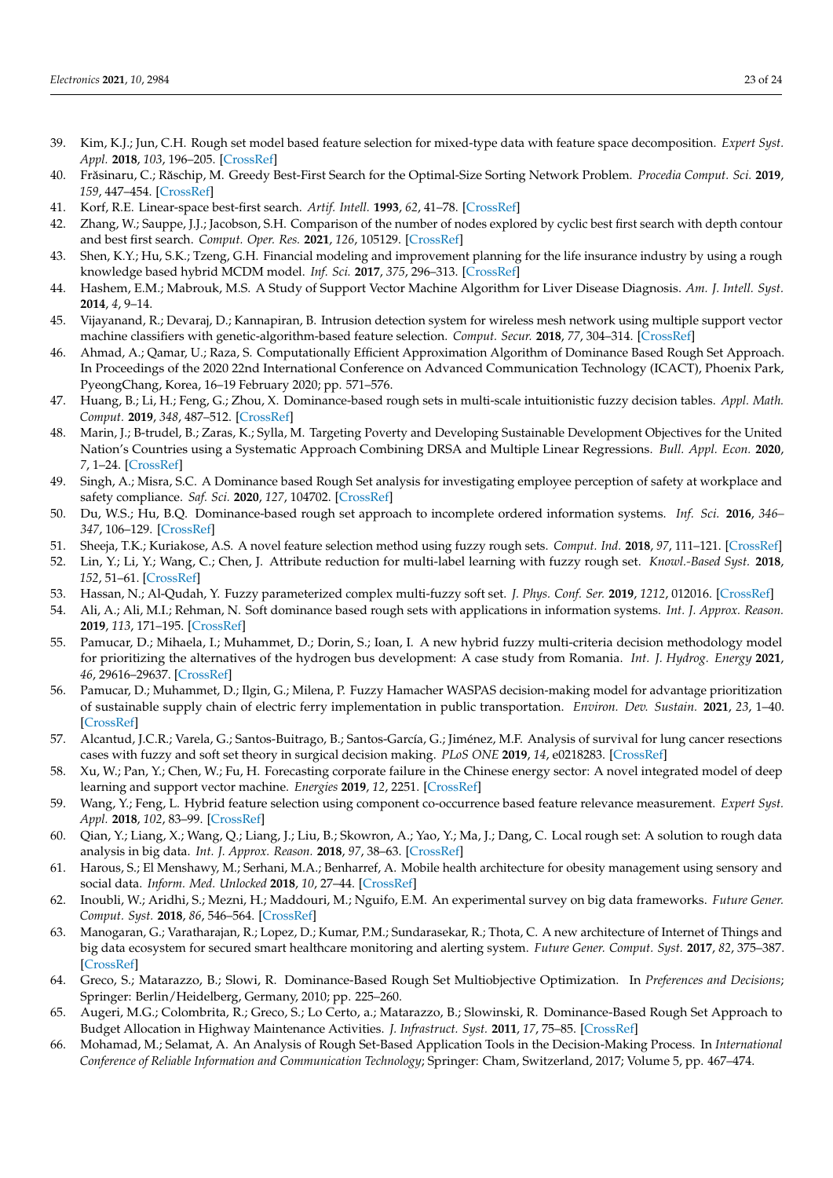- <span id="page-22-0"></span>39. Kim, K.J.; Jun, C.H. Rough set model based feature selection for mixed-type data with feature space decomposition. *Expert Syst. Appl.* **2018**, *103*, 196–205. [\[CrossRef\]](http://dx.doi.org/10.1016/j.eswa.2018.03.010)
- <span id="page-22-1"></span>40. Fr˘asinaru, C.; R ˘aschip, M. Greedy Best-First Search for the Optimal-Size Sorting Network Problem. *Procedia Comput. Sci.* **2019**, *159*, 447–454. [\[CrossRef\]](http://dx.doi.org/10.1016/j.procs.2019.09.199)
- <span id="page-22-2"></span>41. Korf, R.E. Linear-space best-first search. *Artif. Intell.* **1993**, *62*, 41–78. [\[CrossRef\]](http://dx.doi.org/10.1016/0004-3702(93)90045-D)
- <span id="page-22-3"></span>42. Zhang, W.; Sauppe, J.J.; Jacobson, S.H. Comparison of the number of nodes explored by cyclic best first search with depth contour and best first search. *Comput. Oper. Res.* **2021**, *126*, 105129. [\[CrossRef\]](http://dx.doi.org/10.1016/j.cor.2020.105129)
- <span id="page-22-4"></span>43. Shen, K.Y.; Hu, S.K.; Tzeng, G.H. Financial modeling and improvement planning for the life insurance industry by using a rough knowledge based hybrid MCDM model. *Inf. Sci.* **2017**, *375*, 296–313. [\[CrossRef\]](http://dx.doi.org/10.1016/j.ins.2016.09.055)
- <span id="page-22-5"></span>44. Hashem, E.M.; Mabrouk, M.S. A Study of Support Vector Machine Algorithm for Liver Disease Diagnosis. *Am. J. Intell. Syst.* **2014**, *4*, 9–14.
- <span id="page-22-6"></span>45. Vijayanand, R.; Devaraj, D.; Kannapiran, B. Intrusion detection system for wireless mesh network using multiple support vector machine classifiers with genetic-algorithm-based feature selection. *Comput. Secur.* **2018**, *77*, 304–314. [\[CrossRef\]](http://dx.doi.org/10.1016/j.cose.2018.04.010)
- <span id="page-22-7"></span>46. Ahmad, A.; Qamar, U.; Raza, S. Computationally Efficient Approximation Algorithm of Dominance Based Rough Set Approach. In Proceedings of the 2020 22nd International Conference on Advanced Communication Technology (ICACT), Phoenix Park, PyeongChang, Korea, 16–19 February 2020; pp. 571–576.
- <span id="page-22-8"></span>47. Huang, B.; Li, H.; Feng, G.; Zhou, X. Dominance-based rough sets in multi-scale intuitionistic fuzzy decision tables. *Appl. Math. Comput.* **2019**, *348*, 487–512. [\[CrossRef\]](http://dx.doi.org/10.1016/j.amc.2018.12.018)
- <span id="page-22-9"></span>48. Marin, J.; B-trudel, B.; Zaras, K.; Sylla, M. Targeting Poverty and Developing Sustainable Development Objectives for the United Nation's Countries using a Systematic Approach Combining DRSA and Multiple Linear Regressions. *Bull. Appl. Econ.* **2020**, *7*, 1–24. [\[CrossRef\]](http://dx.doi.org/10.47260/bae/721)
- <span id="page-22-10"></span>49. Singh, A.; Misra, S.C. A Dominance based Rough Set analysis for investigating employee perception of safety at workplace and safety compliance. *Saf. Sci.* **2020**, *127*, 104702. [\[CrossRef\]](http://dx.doi.org/10.1016/j.ssci.2020.104702)
- <span id="page-22-11"></span>50. Du, W.S.; Hu, B.Q. Dominance-based rough set approach to incomplete ordered information systems. *Inf. Sci.* **2016**, *346– 347*, 106–129. [\[CrossRef\]](http://dx.doi.org/10.1016/j.ins.2016.01.098)
- <span id="page-22-12"></span>51. Sheeja, T.K.; Kuriakose, A.S. A novel feature selection method using fuzzy rough sets. *Comput. Ind.* **2018**, *97*, 111–121. [\[CrossRef\]](http://dx.doi.org/10.1016/j.compind.2018.01.014)
- <span id="page-22-13"></span>52. Lin, Y.; Li, Y.; Wang, C.; Chen, J. Attribute reduction for multi-label learning with fuzzy rough set. *Knowl.-Based Syst.* **2018**, *152*, 51–61. [\[CrossRef\]](http://dx.doi.org/10.1016/j.knosys.2018.04.004)
- <span id="page-22-14"></span>53. Hassan, N.; Al-Qudah, Y. Fuzzy parameterized complex multi-fuzzy soft set. *J. Phys. Conf. Ser.* **2019**, *1212*, 012016. [\[CrossRef\]](http://dx.doi.org/10.1088/1742-6596/1212/1/012016)
- <span id="page-22-15"></span>54. Ali, A.; Ali, M.I.; Rehman, N. Soft dominance based rough sets with applications in information systems. *Int. J. Approx. Reason.* **2019**, *113*, 171–195. [\[CrossRef\]](http://dx.doi.org/10.1016/j.ijar.2019.06.009)
- <span id="page-22-16"></span>55. Pamucar, D.; Mihaela, I.; Muhammet, D.; Dorin, S.; Ioan, I. A new hybrid fuzzy multi-criteria decision methodology model for prioritizing the alternatives of the hydrogen bus development: A case study from Romania. *Int. J. Hydrog. Energy* **2021**, *46*, 29616–29637. [\[CrossRef\]](http://dx.doi.org/10.1016/j.ijhydene.2020.10.172)
- <span id="page-22-17"></span>56. Pamucar, D.; Muhammet, D.; Ilgin, G.; Milena, P. Fuzzy Hamacher WASPAS decision-making model for advantage prioritization of sustainable supply chain of electric ferry implementation in public transportation. *Environ. Dev. Sustain.* **2021**, *23*, 1–40. [\[CrossRef\]](http://dx.doi.org/10.1007/s10668-021-01742-0)
- <span id="page-22-18"></span>57. Alcantud, J.C.R.; Varela, G.; Santos-Buitrago, B.; Santos-García, G.; Jiménez, M.F. Analysis of survival for lung cancer resections cases with fuzzy and soft set theory in surgical decision making. *PLoS ONE* **2019**, *14*, e0218283. [\[CrossRef\]](http://dx.doi.org/10.1371/journal.pone.0218283)
- <span id="page-22-19"></span>58. Xu, W.; Pan, Y.; Chen, W.; Fu, H. Forecasting corporate failure in the Chinese energy sector: A novel integrated model of deep learning and support vector machine. *Energies* **2019**, *12*, 2251. [\[CrossRef\]](http://dx.doi.org/10.3390/en12122251)
- <span id="page-22-20"></span>59. Wang, Y.; Feng, L. Hybrid feature selection using component co-occurrence based feature relevance measurement. *Expert Syst. Appl.* **2018**, *102*, 83–99. [\[CrossRef\]](http://dx.doi.org/10.1016/j.eswa.2018.01.041)
- <span id="page-22-21"></span>60. Qian, Y.; Liang, X.; Wang, Q.; Liang, J.; Liu, B.; Skowron, A.; Yao, Y.; Ma, J.; Dang, C. Local rough set: A solution to rough data analysis in big data. *Int. J. Approx. Reason.* **2018**, *97*, 38–63. [\[CrossRef\]](http://dx.doi.org/10.1016/j.ijar.2018.01.008)
- <span id="page-22-22"></span>61. Harous, S.; El Menshawy, M.; Serhani, M.A.; Benharref, A. Mobile health architecture for obesity management using sensory and social data. *Inform. Med. Unlocked* **2018**, *10*, 27–44. [\[CrossRef\]](http://dx.doi.org/10.1016/j.imu.2017.12.005)
- <span id="page-22-23"></span>62. Inoubli, W.; Aridhi, S.; Mezni, H.; Maddouri, M.; Nguifo, E.M. An experimental survey on big data frameworks. *Future Gener. Comput. Syst.* **2018**, *86*, 546–564. [\[CrossRef\]](http://dx.doi.org/10.1016/j.future.2018.04.032)
- <span id="page-22-24"></span>63. Manogaran, G.; Varatharajan, R.; Lopez, D.; Kumar, P.M.; Sundarasekar, R.; Thota, C. A new architecture of Internet of Things and big data ecosystem for secured smart healthcare monitoring and alerting system. *Future Gener. Comput. Syst.* **2017**, *82*, 375–387. [\[CrossRef\]](http://dx.doi.org/10.1016/j.future.2017.10.045)
- <span id="page-22-25"></span>64. Greco, S.; Matarazzo, B.; Slowi, R. Dominance-Based Rough Set Multiobjective Optimization. In *Preferences and Decisions*; Springer: Berlin/Heidelberg, Germany, 2010; pp. 225–260.
- <span id="page-22-26"></span>65. Augeri, M.G.; Colombrita, R.; Greco, S.; Lo Certo, a.; Matarazzo, B.; Slowinski, R. Dominance-Based Rough Set Approach to Budget Allocation in Highway Maintenance Activities. *J. Infrastruct. Syst.* **2011**, *17*, 75–85. [\[CrossRef\]](http://dx.doi.org/10.1061/(ASCE)IS.1943-555X.0000051)
- <span id="page-22-27"></span>66. Mohamad, M.; Selamat, A. An Analysis of Rough Set-Based Application Tools in the Decision-Making Process. In *International Conference of Reliable Information and Communication Technology*; Springer: Cham, Switzerland, 2017; Volume 5, pp. 467–474.